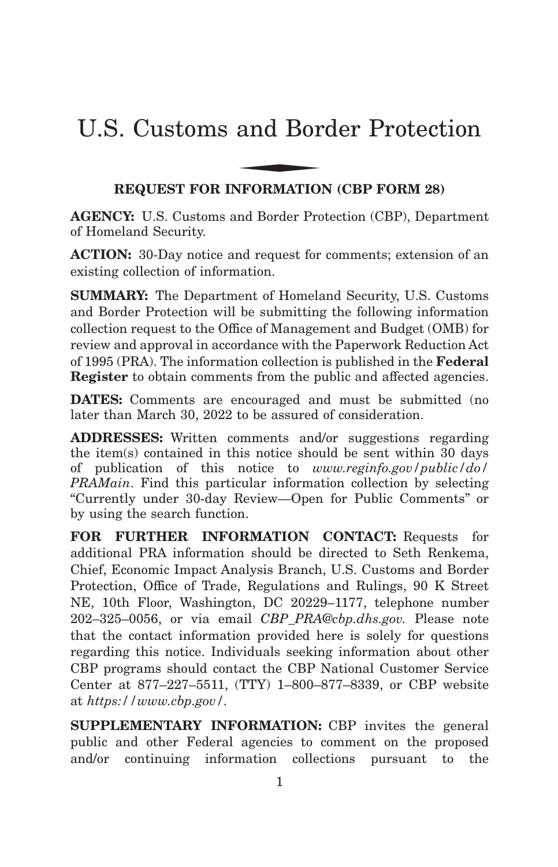# U.S. Customs and Border Protection and Bor

# **REQUEST FOR INFORMATION (CBP FORM 28)**

**AGENCY:** U.S. Customs and Border Protection (CBP), Department of Homeland Security.

**ACTION:** 30-Day notice and request for comments; extension of an existing collection of information.

**SUMMARY:** The Department of Homeland Security, U.S. Customs and Border Protection will be submitting the following information collection request to the Office of Management and Budget (OMB) for review and approval in accordance with the Paperwork Reduction Act of 1995 (PRA). The information collection is published in the **Federal Register** to obtain comments from the public and affected agencies.

**DATES:** Comments are encouraged and must be submitted (no later than March 30, 2022 to be assured of consideration.

**ADDRESSES:** Written comments and/or suggestions regarding the item(s) contained in this notice should be sent within 30 days of publication of this notice to *www.reginfo.gov/public/do/ PRAMain*. Find this particular information collection by selecting ''Currently under 30-day Review—Open for Public Comments'' or by using the search function.

**FOR FURTHER INFORMATION CONTACT:** Requests for additional PRA information should be directed to Seth Renkema, Chief, Economic Impact Analysis Branch, U.S. Customs and Border Protection, Office of Trade, Regulations and Rulings, 90 K Street NE, 10th Floor, Washington, DC 20229–1177, telephone number 202–325–0056, or via email *CBP\_PRA@cbp.dhs.gov.* Please note that the contact information provided here is solely for questions regarding this notice. Individuals seeking information about other CBP programs should contact the CBP National Customer Service Center at 877–227–5511, (TTY) 1–800–877–8339, or CBP website at *https://www.cbp.gov/.*

**SUPPLEMENTARY INFORMATION:** CBP invites the general public and other Federal agencies to comment on the proposed and/or continuing information collections pursuant to the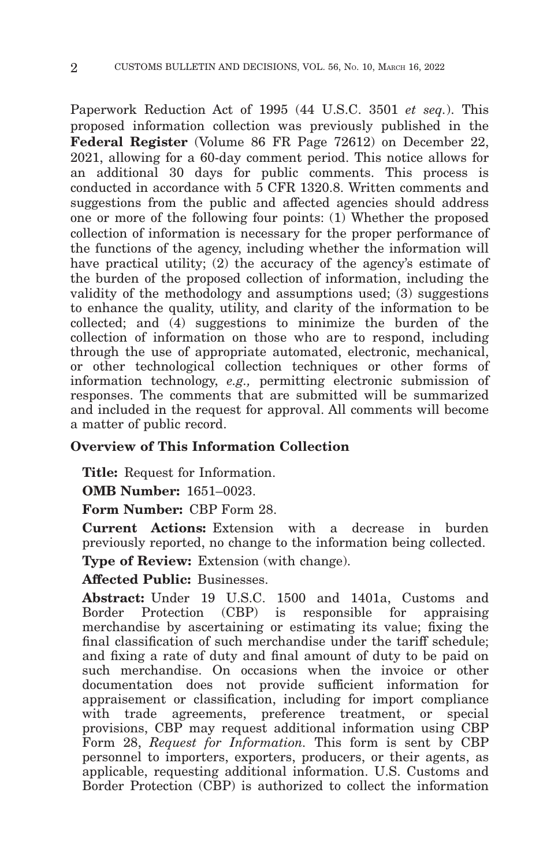Paperwork Reduction Act of 1995 (44 U.S.C. 3501 *et seq.*). This proposed information collection was previously published in the **Federal Register** (Volume 86 FR Page 72612) on December 22, 2021, allowing for a 60-day comment period. This notice allows for an additional 30 days for public comments. This process is conducted in accordance with 5 CFR 1320.8. Written comments and suggestions from the public and affected agencies should address one or more of the following four points: (1) Whether the proposed collection of information is necessary for the proper performance of the functions of the agency, including whether the information will have practical utility; (2) the accuracy of the agency's estimate of the burden of the proposed collection of information, including the validity of the methodology and assumptions used; (3) suggestions to enhance the quality, utility, and clarity of the information to be collected; and (4) suggestions to minimize the burden of the collection of information on those who are to respond, including through the use of appropriate automated, electronic, mechanical, or other technological collection techniques or other forms of information technology, *e.g.,* permitting electronic submission of responses. The comments that are submitted will be summarized and included in the request for approval. All comments will become a matter of public record.

## **Overview of This Information Collection**

**Title:** Request for Information.

**OMB Number:** 1651–0023.

**Form Number:** CBP Form 28.

**Current Actions:** Extension with a decrease in burden previously reported, no change to the information being collected.

**Type of Review:** Extension (with change).

## **Affected Public:** Businesses.

**Abstract:** Under 19 U.S.C. 1500 and 1401a, Customs and Border Protection (CBP) is responsible for appraising merchandise by ascertaining or estimating its value; fixing the final classification of such merchandise under the tariff schedule; and fixing a rate of duty and final amount of duty to be paid on such merchandise. On occasions when the invoice or other documentation does not provide sufficient information for appraisement or classification, including for import compliance with trade agreements, preference treatment, or special provisions, CBP may request additional information using CBP Form 28, *Request for Information.* This form is sent by CBP personnel to importers, exporters, producers, or their agents, as applicable, requesting additional information. U.S. Customs and Border Protection (CBP) is authorized to collect the information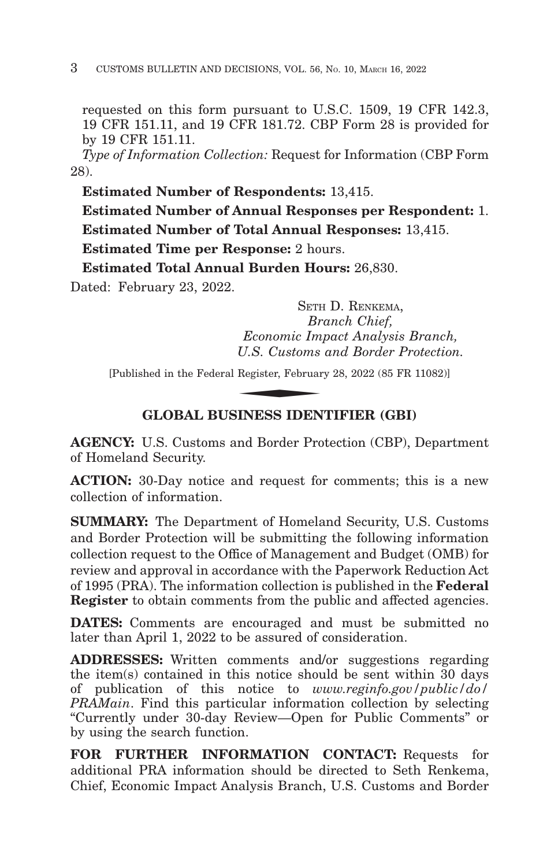requested on this form pursuant to U.S.C. 1509, 19 CFR 142.3, 19 CFR 151.11, and 19 CFR 181.72. CBP Form 28 is provided for by 19 CFR 151.11.

*Type of Information Collection:* Request for Information (CBP Form 28).

**Estimated Number of Respondents:** 13,415.

**Estimated Number of Annual Responses per Respondent:** 1. **Estimated Number of Total Annual Responses:** 13,415.

**Estimated Time per Response:** 2 hours.

**Estimated Total Annual Burden Hours:** 26,830.

Dated: February 23, 2022.

SETH D. RENKEMA, *Branch Chief, Economic Impact Analysis Branch, U.S. Customs and Border Protection.* SETH<br>Br<br>Economic Im<sub>,</sub><br>U.S. Customs<br>Register, Februar<br>NINESS IDEN

[Published in the Federal Register, February 28, 2022 (85 FR 11082)]

# **GLOBAL BUSINESS IDENTIFIER (GBI)**

**AGENCY:** U.S. Customs and Border Protection (CBP), Department of Homeland Security.

**ACTION:** 30-Day notice and request for comments; this is a new collection of information.

**SUMMARY:** The Department of Homeland Security, U.S. Customs and Border Protection will be submitting the following information collection request to the Office of Management and Budget (OMB) for review and approval in accordance with the Paperwork Reduction Act of 1995 (PRA). The information collection is published in the **Federal Register** to obtain comments from the public and affected agencies.

**DATES:** Comments are encouraged and must be submitted no later than April 1, 2022 to be assured of consideration.

**ADDRESSES:** Written comments and/or suggestions regarding the item(s) contained in this notice should be sent within 30 days of publication of this notice to *www.reginfo.gov/public/do/ PRAMain*. Find this particular information collection by selecting ''Currently under 30-day Review—Open for Public Comments'' or by using the search function.

**FOR FURTHER INFORMATION CONTACT:** Requests for additional PRA information should be directed to Seth Renkema, Chief, Economic Impact Analysis Branch, U.S. Customs and Border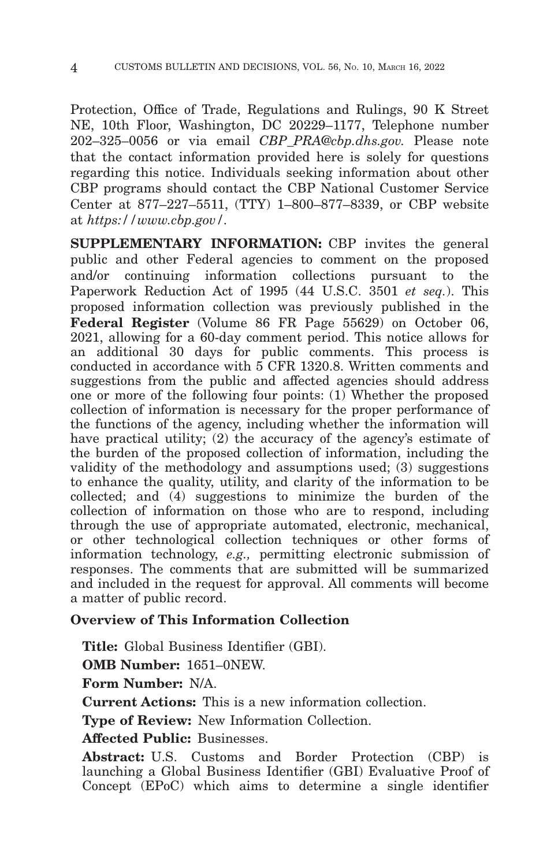Protection, Office of Trade, Regulations and Rulings, 90 K Street NE, 10th Floor, Washington, DC 20229–1177, Telephone number 202–325–0056 or via email *CBP\_PRA@cbp.dhs.gov.* Please note that the contact information provided here is solely for questions regarding this notice. Individuals seeking information about other CBP programs should contact the CBP National Customer Service Center at 877–227–5511, (TTY) 1–800–877–8339, or CBP website at *https://www.cbp.gov/.*

**SUPPLEMENTARY INFORMATION:** CBP invites the general public and other Federal agencies to comment on the proposed and/or continuing information collections pursuant to the Paperwork Reduction Act of 1995 (44 U.S.C. 3501 *et seq.*). This proposed information collection was previously published in the **Federal Register** (Volume 86 FR Page 55629) on October 06, 2021, allowing for a 60-day comment period. This notice allows for an additional 30 days for public comments. This process is conducted in accordance with 5 CFR 1320.8. Written comments and suggestions from the public and affected agencies should address one or more of the following four points: (1) Whether the proposed collection of information is necessary for the proper performance of the functions of the agency, including whether the information will have practical utility; (2) the accuracy of the agency's estimate of the burden of the proposed collection of information, including the validity of the methodology and assumptions used; (3) suggestions to enhance the quality, utility, and clarity of the information to be collected; and (4) suggestions to minimize the burden of the collection of information on those who are to respond, including through the use of appropriate automated, electronic, mechanical, or other technological collection techniques or other forms of information technology, *e.g.,* permitting electronic submission of responses. The comments that are submitted will be summarized and included in the request for approval. All comments will become a matter of public record.

# **Overview of This Information Collection**

**Title:** Global Business Identifier (GBI).

**OMB Number:** 1651–0NEW.

**Form Number:** N/A.

**Current Actions:** This is a new information collection.

**Type of Review:** New Information Collection.

**Affected Public:** Businesses.

**Abstract:** U.S. Customs and Border Protection (CBP) is launching a Global Business Identifier (GBI) Evaluative Proof of Concept (EPoC) which aims to determine a single identifier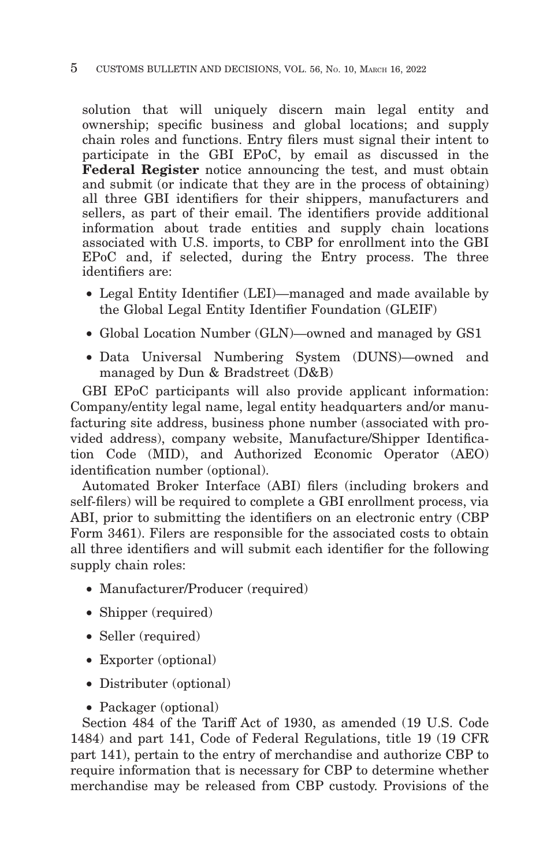#### 5 CUSTOMS BULLETIN AND DECISIONS, VOL. 56, NO. 10, MARCH 16, 2022

solution that will uniquely discern main legal entity and ownership; specific business and global locations; and supply chain roles and functions. Entry filers must signal their intent to participate in the GBI EPoC, by email as discussed in the **Federal Register** notice announcing the test, and must obtain and submit (or indicate that they are in the process of obtaining) all three GBI identifiers for their shippers, manufacturers and sellers, as part of their email. The identifiers provide additional information about trade entities and supply chain locations associated with U.S. imports, to CBP for enrollment into the GBI EPoC and, if selected, during the Entry process. The three identifiers are:

- Legal Entity Identifier (LEI)—managed and made available by the Global Legal Entity Identifier Foundation (GLEIF)
- Global Location Number (GLN)—owned and managed by GS1
- Data Universal Numbering System (DUNS)—owned and managed by Dun & Bradstreet (D&B)

GBI EPoC participants will also provide applicant information: Company/entity legal name, legal entity headquarters and/or manufacturing site address, business phone number (associated with provided address), company website, Manufacture/Shipper Identification Code (MID), and Authorized Economic Operator (AEO) identification number (optional).

Automated Broker Interface (ABI) filers (including brokers and self-filers) will be required to complete a GBI enrollment process, via ABI, prior to submitting the identifiers on an electronic entry (CBP Form 3461). Filers are responsible for the associated costs to obtain all three identifiers and will submit each identifier for the following supply chain roles:

- Manufacturer/Producer (required)
- Shipper (required)
- Seller (required)
- Exporter (optional)
- Distributer (optional)
- Packager (optional)

Section 484 of the Tariff Act of 1930, as amended (19 U.S. Code 1484) and part 141, Code of Federal Regulations, title 19 (19 CFR part 141), pertain to the entry of merchandise and authorize CBP to require information that is necessary for CBP to determine whether merchandise may be released from CBP custody. Provisions of the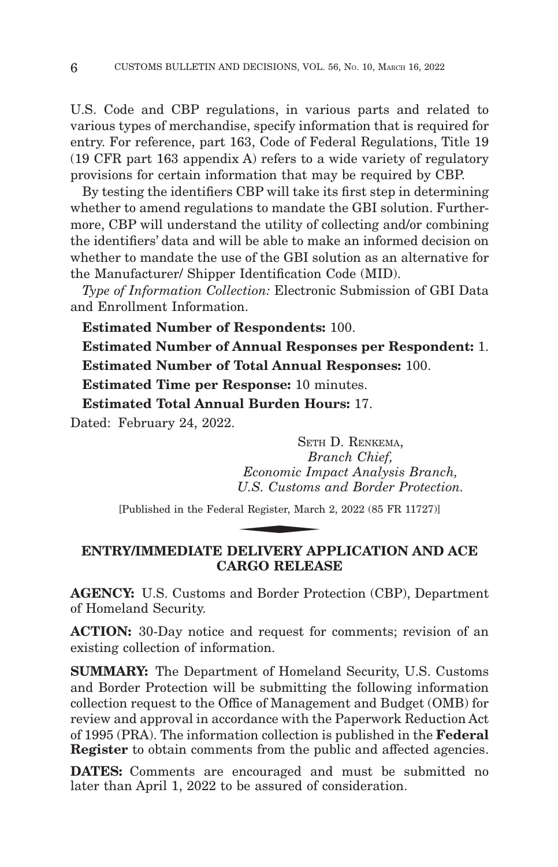U.S. Code and CBP regulations, in various parts and related to various types of merchandise, specify information that is required for entry. For reference, part 163, Code of Federal Regulations, Title 19 (19 CFR part 163 appendix A) refers to a wide variety of regulatory provisions for certain information that may be required by CBP.

By testing the identifiers CBP will take its first step in determining whether to amend regulations to mandate the GBI solution. Furthermore, CBP will understand the utility of collecting and/or combining the identifiers' data and will be able to make an informed decision on whether to mandate the use of the GBI solution as an alternative for the Manufacturer/ Shipper Identification Code (MID).

*Type of Information Collection:* Electronic Submission of GBI Data and Enrollment Information.

**Estimated Number of Respondents:** 100.

**Estimated Number of Annual Responses per Respondent:** 1. **Estimated Number of Total Annual Responses:** 100.

**Estimated Time per Response:** 10 minutes.

**Estimated Total Annual Burden Hours:** 17.

Dated: February 24, 2022.

SETH D. RENKEMA, *Branch Chief, Economic Impact Analysis Branch, U.S. Customs and Border Protection.* SETH<br>*Br<br>Economic Im<sub>,</sub><br>U.S. Customs*<br>al Register, March<br>NEJ IMERY AT

[Published in the Federal Register, March 2, 2022 (85 FR 11727)]

## **ENTRY/IMMEDIATE DELIVERY APPLICATION AND ACE CARGO RELEASE**

**AGENCY:** U.S. Customs and Border Protection (CBP), Department of Homeland Security.

**ACTION:** 30-Day notice and request for comments; revision of an existing collection of information.

**SUMMARY:** The Department of Homeland Security, U.S. Customs and Border Protection will be submitting the following information collection request to the Office of Management and Budget (OMB) for review and approval in accordance with the Paperwork Reduction Act of 1995 (PRA). The information collection is published in the **Federal Register** to obtain comments from the public and affected agencies.

**DATES:** Comments are encouraged and must be submitted no later than April 1, 2022 to be assured of consideration.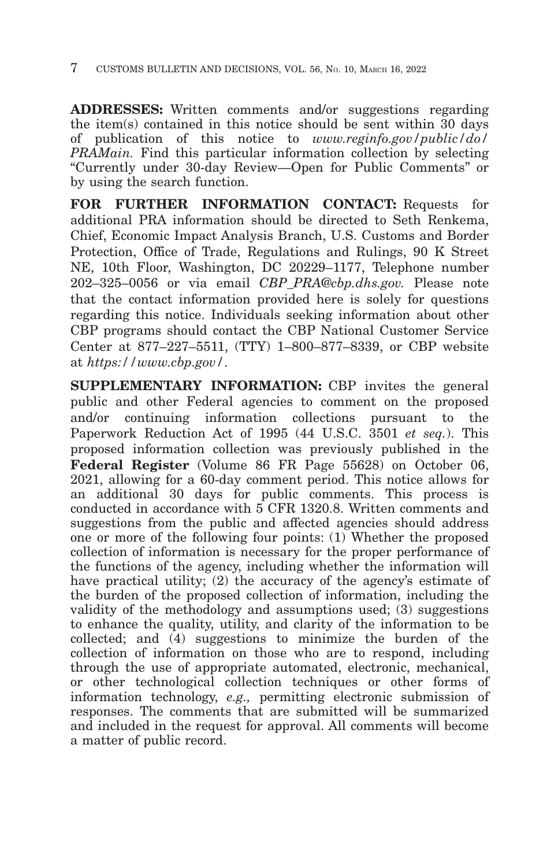**ADDRESSES:** Written comments and/or suggestions regarding the item(s) contained in this notice should be sent within 30 days of publication of this notice to *www.reginfo.gov/public/do/ PRAMain.* Find this particular information collection by selecting ''Currently under 30-day Review—Open for Public Comments'' or by using the search function.

**FOR FURTHER INFORMATION CONTACT:** Requests for additional PRA information should be directed to Seth Renkema, Chief, Economic Impact Analysis Branch, U.S. Customs and Border Protection, Office of Trade, Regulations and Rulings, 90 K Street NE, 10th Floor, Washington, DC 20229–1177, Telephone number 202–325–0056 or via email *CBP\_PRA@cbp.dhs.gov.* Please note that the contact information provided here is solely for questions regarding this notice. Individuals seeking information about other CBP programs should contact the CBP National Customer Service Center at 877–227–5511, (TTY) 1–800–877–8339, or CBP website at *https://www.cbp.gov/*.

**SUPPLEMENTARY INFORMATION:** CBP invites the general public and other Federal agencies to comment on the proposed and/or continuing information collections pursuant to the Paperwork Reduction Act of 1995 (44 U.S.C. 3501 *et seq.*). This proposed information collection was previously published in the **Federal Register** (Volume 86 FR Page 55628) on October 06, 2021, allowing for a 60-day comment period. This notice allows for an additional 30 days for public comments. This process is conducted in accordance with 5 CFR 1320.8. Written comments and suggestions from the public and affected agencies should address one or more of the following four points: (1) Whether the proposed collection of information is necessary for the proper performance of the functions of the agency, including whether the information will have practical utility; (2) the accuracy of the agency's estimate of the burden of the proposed collection of information, including the validity of the methodology and assumptions used; (3) suggestions to enhance the quality, utility, and clarity of the information to be collected; and (4) suggestions to minimize the burden of the collection of information on those who are to respond, including through the use of appropriate automated, electronic, mechanical, or other technological collection techniques or other forms of information technology, *e.g.,* permitting electronic submission of responses. The comments that are submitted will be summarized and included in the request for approval. All comments will become a matter of public record.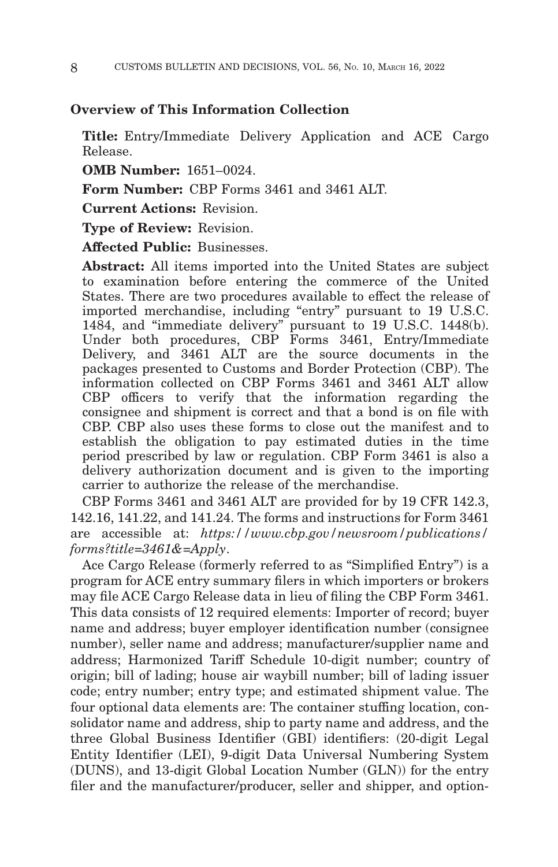### **Overview of This Information Collection**

**Title:** Entry/Immediate Delivery Application and ACE Cargo Release.

**OMB Number:** 1651–0024.

**Form Number:** CBP Forms 3461 and 3461 ALT.

**Current Actions:** Revision.

**Type of Review:** Revision.

**Affected Public:** Businesses.

**Abstract:** All items imported into the United States are subject to examination before entering the commerce of the United States. There are two procedures available to effect the release of imported merchandise, including "entry" pursuant to 19 U.S.C. 1484, and ''immediate delivery'' pursuant to 19 U.S.C. 1448(b). Under both procedures, CBP Forms 3461, Entry/Immediate Delivery, and 3461 ALT are the source documents in the packages presented to Customs and Border Protection (CBP). The information collected on CBP Forms 3461 and 3461 ALT allow CBP officers to verify that the information regarding the consignee and shipment is correct and that a bond is on file with CBP. CBP also uses these forms to close out the manifest and to establish the obligation to pay estimated duties in the time period prescribed by law or regulation. CBP Form 3461 is also a delivery authorization document and is given to the importing carrier to authorize the release of the merchandise.

CBP Forms 3461 and 3461 ALT are provided for by 19 CFR 142.3, 142.16, 141.22, and 141.24. The forms and instructions for Form 3461 are accessible at: *https://www.cbp.gov/newsroom/publications/ forms?title=3461&=Apply*.

Ace Cargo Release (formerly referred to as ''Simplified Entry'') is a program for ACE entry summary filers in which importers or brokers may file ACE Cargo Release data in lieu of filing the CBP Form 3461. This data consists of 12 required elements: Importer of record; buyer name and address; buyer employer identification number (consignee number), seller name and address; manufacturer/supplier name and address; Harmonized Tariff Schedule 10-digit number; country of origin; bill of lading; house air waybill number; bill of lading issuer code; entry number; entry type; and estimated shipment value. The four optional data elements are: The container stuffing location, consolidator name and address, ship to party name and address, and the three Global Business Identifier (GBI) identifiers: (20-digit Legal Entity Identifier (LEI), 9-digit Data Universal Numbering System (DUNS), and 13-digit Global Location Number (GLN)) for the entry filer and the manufacturer/producer, seller and shipper, and option-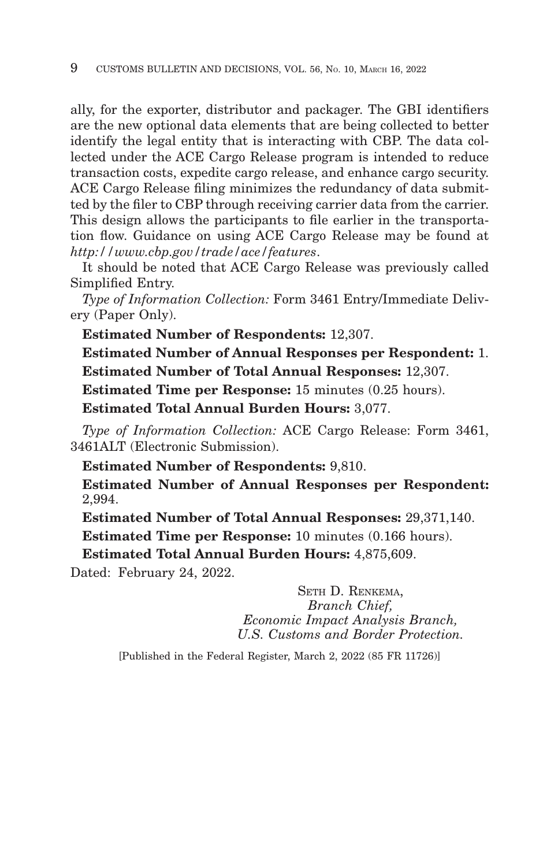ally, for the exporter, distributor and packager. The GBI identifiers are the new optional data elements that are being collected to better identify the legal entity that is interacting with CBP. The data collected under the ACE Cargo Release program is intended to reduce transaction costs, expedite cargo release, and enhance cargo security. ACE Cargo Release filing minimizes the redundancy of data submitted by the filer to CBP through receiving carrier data from the carrier. This design allows the participants to file earlier in the transportation flow. Guidance on using ACE Cargo Release may be found at *http://www.cbp.gov/trade/ace/features*.

It should be noted that ACE Cargo Release was previously called Simplified Entry.

*Type of Information Collection:* Form 3461 Entry/Immediate Delivery (Paper Only).

**Estimated Number of Respondents:** 12,307.

**Estimated Number of Annual Responses per Respondent:** 1. **Estimated Number of Total Annual Responses:** 12,307.

**Estimated Time per Response:** 15 minutes (0.25 hours).

**Estimated Total Annual Burden Hours:** 3,077.

*Type of Information Collection:* ACE Cargo Release: Form 3461, 3461ALT (Electronic Submission).

**Estimated Number of Respondents:** 9,810.

**Estimated Number of Annual Responses per Respondent:** 2,994.

**Estimated Number of Total Annual Responses:** 29,371,140.

**Estimated Time per Response:** 10 minutes (0.166 hours).

**Estimated Total Annual Burden Hours:** 4,875,609.

Dated: February 24, 2022.

SETH D. RENKEMA, *Branch Chief, Economic Impact Analysis Branch, U.S. Customs and Border Protection.*

[Published in the Federal Register, March 2, 2022 (85 FR 11726)]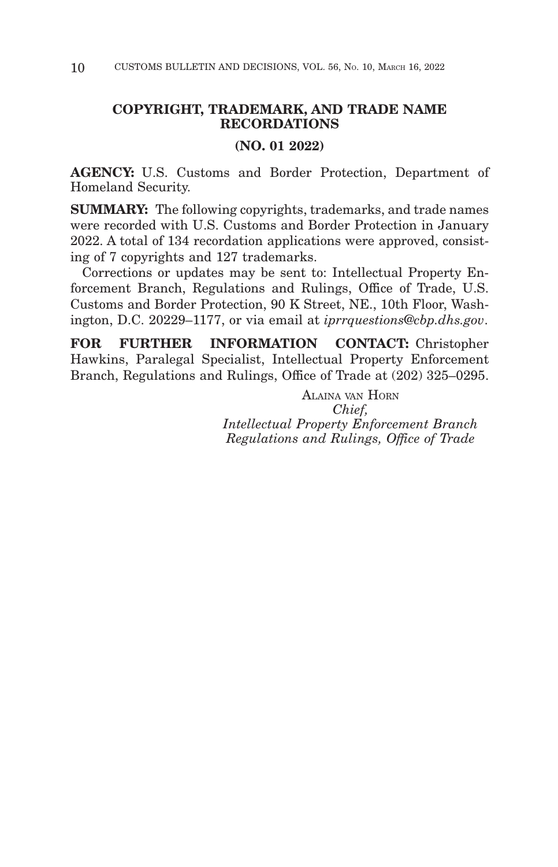# **COPYRIGHT, TRADEMARK, AND TRADE NAME RECORDATIONS**

#### **(NO. 01 2022)**

**AGENCY:** U.S. Customs and Border Protection, Department of Homeland Security.

**SUMMARY:** The following copyrights, trademarks, and trade names were recorded with U.S. Customs and Border Protection in January 2022. A total of 134 recordation applications were approved, consisting of 7 copyrights and 127 trademarks.

Corrections or updates may be sent to: Intellectual Property Enforcement Branch, Regulations and Rulings, Office of Trade, U.S. Customs and Border Protection, 90 K Street, NE., 10th Floor, Washington, D.C. 20229–1177, or via email at *iprrquestions@cbp.dhs.gov*.

**FOR FURTHER INFORMATION CONTACT:** Christopher Hawkins, Paralegal Specialist, Intellectual Property Enforcement Branch, Regulations and Rulings, Office of Trade at (202) 325–0295.

> ALAINA VAN HORN *Chief, Intellectual Property Enforcement Branch Regulations and Rulings, Office of Trade*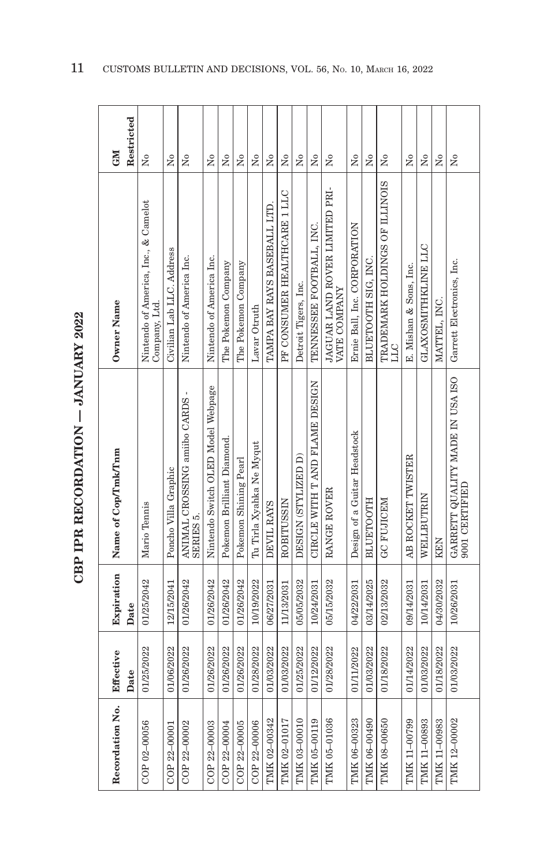| $\ddot{\phantom{a}}$ |
|----------------------|
|                      |
|                      |
|                      |
|                      |
|                      |
| Í                    |
|                      |
|                      |
|                      |
|                      |
|                      |
|                      |
|                      |
|                      |
|                      |
|                      |
| ľ                    |
|                      |
|                      |
| ١                    |

| Recordation No. | Effective  | Expiration | Name of Cop/Tmk/Tnm                                                           | Owner Name                                            | <b>NE</b>              |
|-----------------|------------|------------|-------------------------------------------------------------------------------|-------------------------------------------------------|------------------------|
|                 | Date       | Date       |                                                                               |                                                       | Restricted             |
| COP 02-00056    | 01/25/2022 | 01/25/2042 | Mario Tennis                                                                  | Nintendo of America, Inc., & Camelot<br>Company, Ltd. | $\tilde{\mathbf{z}}$   |
| COP 22-00001    | 01/06/2022 | 12/15/2041 | Poncho Villa Graphic                                                          | Civilian Lab LLC. Address                             | $\overline{N}$         |
| COP 22-00002    | 01/26/2022 | 01/26/2042 | ANIMAL CROSSING amilbo CARDS -<br>SERIES <sub>5</sub> .                       | Nintendo of America Inc.                              | Σó                     |
| COP 22-00003    | 01/26/2022 | 01/26/2042 | Nintendo Switch OLED Model Webpage                                            | Nintendo of America Inc.                              | $\overline{N}$         |
| COP 22-00004    | 01/26/2022 | 01/26/2042 | Pokemon Brilliant Diamond.                                                    | The Pokemon Company                                   | $\overline{N}$         |
| COP 22-00005    | 01/26/2022 | 01/26/2042 | Pokemon Shining Pearl                                                         | The Pokemon Company                                   | $\tilde{X}^{\circ}$    |
| COP 22-00006    | 01/28/2022 | 10/19/2022 | Tu Tirla Xyahka Ne Myqut                                                      | Lavar Otruth                                          | Σó                     |
| TMK 02-00342    | 01/03/2022 | 06/27/2031 | DEVIL RAYS                                                                    | TAMPA BAY RAYS BASEBALL LTD                           | Σó                     |
| TMK 02-01017    | 01/03/2022 | 11/13/2031 | ROBITUSSIN                                                                    | PF CONSUMER HEALTHCARE 1 LLC                          | $\tilde{z}$            |
| TMK 03-00010    | 01/25/2022 | 05/05/2032 | DESIGN (STYLIZED D)                                                           | Detroit Tigers, Inc.                                  | å                      |
| TMK 05-00119    | 01/12/2022 | 10/24/2031 | CIRCLE WITH TAND FLAME DESIGN                                                 | TENNESSEE FOOTBALL, INC.                              | $\overline{X}^{\circ}$ |
| TMK 05-01036    | 01/28/2022 | 05/15/2032 | RANGE ROVER                                                                   | JAGUAR LAND ROVER LIMITED PRI-<br>VATE COMPANY        | Σó                     |
| TMK 06-00323    | 01/11/2022 | 04/22/2031 | Design of a Guitar Headstock                                                  | Ernie Ball, Inc. CORPORATION                          | $\overline{N}$         |
| TMK 06-00490    | 01/03/2022 | 03/14/2025 | <b>BLUETOOTH</b>                                                              | BLUETOOTH SIG, INC.                                   | $\tilde{X}^{\circ}$    |
| TMK 08-00650    | 01/18/2022 | 02/13/2032 | <b>GC FUJICEM</b>                                                             | TRADEMARK HOLDINGS OF ILLINOIS<br><b>LLC</b>          | $\tilde{z}$            |
| TMK 11-00799    | 01/14/2022 | 09/14/2031 | AB ROCKET TWISTER                                                             | E. Mishan & Sons, Inc.                                | $\overline{N}$         |
| TMK 11-00893    | 01/03/2022 | 10/14/2031 | WELLBUTRIN                                                                    | GLAXOSMITHKLINE LLC                                   | $\overline{N}$         |
| TMK 11-00983    | 01/18/2022 | 04/30/2032 | <b>KEN</b>                                                                    | MATTEL, INC.                                          | Σó                     |
| TMK 12-00002    | 01/03/2022 | 10/26/2031 | GARRETT QUALITY MADE IN USA ISO $\,$ Garrett Electronics, Inc. 9001 CERTIFIED |                                                       | $\tilde{X}^{\circ}$    |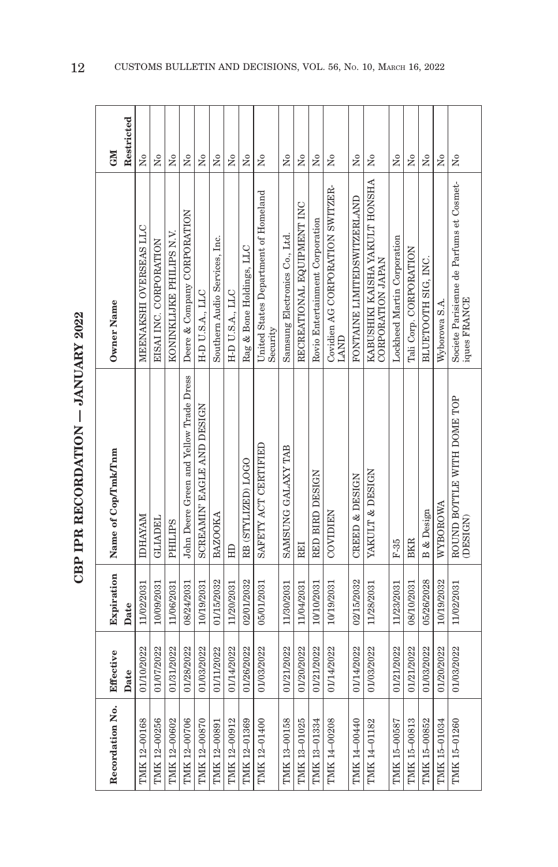| $\frac{1}{2}$<br>İ<br>l |
|-------------------------|
| ーーくくしょ                  |
| j<br>١                  |

| Recordation No.     | Effective  | Expiration | Name of Cop/Tmk/Tnm                     | Owner Name                                                                                            | <b>NEO</b>                |
|---------------------|------------|------------|-----------------------------------------|-------------------------------------------------------------------------------------------------------|---------------------------|
|                     | Date       | Date       |                                         |                                                                                                       | Restricted                |
| <b>IMK 12-00168</b> | 01/10/2022 | 11/02/2031 | <b>IDHAYAM</b>                          | MEENAKSHI OVERSEAS LLC                                                                                | $\mathsf{S}^{\mathsf{o}}$ |
| TMK 12-00256        | 01/07/2022 | 10/09/2031 | <b>GLIADEL</b>                          | EISAI INC. CORPORATION                                                                                | Σó                        |
| TMK 12-00602        | 01/31/2022 | 11/06/2031 | <b>PHILIPS</b>                          | KONINKLIJKE PHILIPS N.V.                                                                              | Σó                        |
| TMK 12-00706        | 01/28/2022 | 08/24/2031 | John Deere Green and Yellow Trade Dress | Deere & Company CORPORATION                                                                           | $\tilde{\mathbf{X}}$      |
| TMK 12-00870        | 01/03/2022 | 10/19/2031 | SCREAMIN' EAGLE AND DESIGN              | H-D U.S.A., LLC                                                                                       | $\tilde{\rm X}^0$         |
| TMK 12-00891        | 01/11/2022 | 01/15/2032 | <b>BAZOOKA</b>                          | Southern Audio Services, Inc.                                                                         | ż                         |
| TMK 12-00912        | 01/14/2022 | 11/20/2031 | HD                                      | H-D U.S.A., LLC                                                                                       | $\tilde{\mathsf{z}}$      |
| TMK 12-01369        | 01/26/2022 | 02/01/2032 | RB (STYLIZED) LOGO                      | Rag & Bone Holdings, LLC                                                                              | Σò                        |
| TMK 12-01400        | 01/03/2022 | 05/01/2031 | SAFETY ACT CERTIFIED                    | United States Department of Homeland<br>Security                                                      | $\tilde{\mathsf{z}}$      |
| <b>IMK 13-00158</b> | 01/21/2022 | 11/30/2031 | SAMSUNG GALAXY TAB                      | Samsung Electronics Co., Ltd.                                                                         | $\tilde{X}^{\circ}$       |
| TMK 13-01025        | 01/20/2022 | 11/04/2031 | <b>REI</b>                              | RECREATIONAL EQUIPMENT INC                                                                            | Σó                        |
| TMK 13-01334        | 01/21/2022 | 10/10/2031 | RED BIRD DESIGN                         | Rovio Entertainment Corporation                                                                       | Σó                        |
| TMK 14-00208        | 01/14/2022 | 10/19/2031 | COVIDIEN                                | Covidien AG CORPORATION SWITZER-<br><b>LAND</b>                                                       | $\tilde{\mathbf{X}}$      |
| TMK 14-00440        | 01/14/2022 | 02/15/2032 | CREED & DESIGN                          | FONTAINE LIMITEDSWITZERLAND                                                                           | ż                         |
| TMK 14-01182        | 01/03/2022 | 11/28/2031 | YAKULT & DESIGN                         | KABUSHIKI KAISHA YAKULT HONSHA<br>CORPORATION JAPAN                                                   | ż                         |
| TMK 15-00587        | 01/21/2022 | 11/23/2031 | $F-35$                                  | Lockheed Martin Corporation                                                                           | Σó                        |
| TMK 15-00813        | 01/21/2022 | 08/10/2031 | <b>BKR</b>                              | Tali Corp. CORPORATION                                                                                | Σó                        |
| TMK 15-00852        | 01/03/2022 | 05/26/2028 | <b>B</b> & Design                       | BLUETOOTH SIG, INC.                                                                                   | Σó                        |
| TMK 15-01034        | 01/20/2022 | 10/19/2032 | WYBOROWA                                | Wyborowa S.A                                                                                          | Σó                        |
| TMK 15-01260        | 01/03/2022 | 11/02/2031 | ROUND BOTTLE WITH DOME TOP<br>(DESIGN)  | $\begin{array}{c} \text{Societe Parisienne de Parfums et Cosmeti.}\\ \text{iques FRANCE} \end{array}$ | ž                         |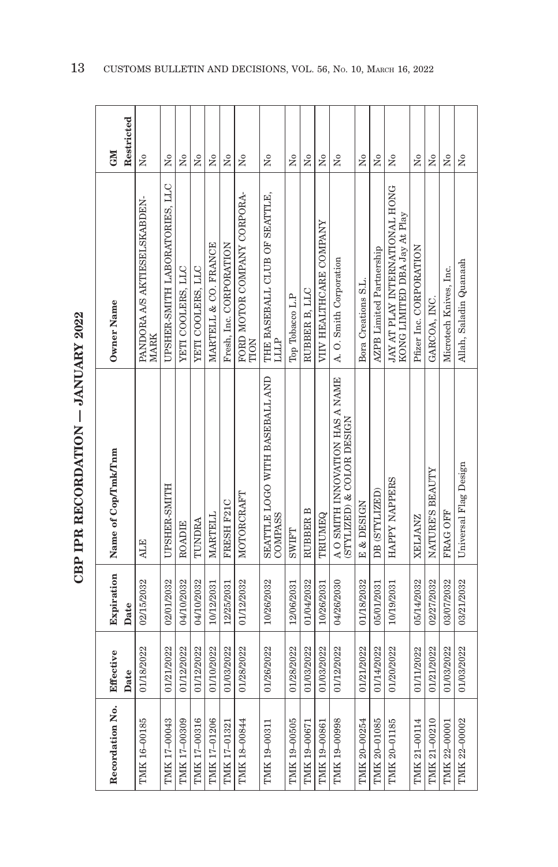| $\sim$ $\sim$ $\sim$ $\sim$ $\sim$ $\sim$ $\sim$ $\sim$ |
|---------------------------------------------------------|
|                                                         |
| -<br>-<br>-<br>-<br>-                                   |
| .<br>ו<br>ו                                             |
| ・くくじょ                                                   |
|                                                         |
| ŗ                                                       |

| <b>CNI</b>          | Restricted | Χo                                   | Σó                             | Χo                | $\overline{M}$    | Σó                   | Σó                      | ż                                   | å                                         | ž               | ż             | $\tilde{z}$             | Σó                                                           | Χo                  | $\overline{X}^{\circ}$          | ż                                                              | Σó                      | $\overline{N}$  | Σó                     | $\tilde{z}$            |
|---------------------|------------|--------------------------------------|--------------------------------|-------------------|-------------------|----------------------|-------------------------|-------------------------------------|-------------------------------------------|-----------------|---------------|-------------------------|--------------------------------------------------------------|---------------------|---------------------------------|----------------------------------------------------------------|-------------------------|-----------------|------------------------|------------------------|
| Owner Name          |            | PANDORA A/S AKTIESELSKABDEN-<br>MARK | UPSHER-SMITH LABORATORIES, LLC | YETI COOLERS, LLC | YETI COOLERS, LLC | MARTELL & CO. FRANCE | Fresh, Inc. CORPORATION | FORD MOTOR COMPANY CORPORA-<br>TION | THE BASEBALL CLUB OF SEATTLE,<br>ППР      | Top Tobacco L.P | RUBBER B. LLC | VIIV HEALTHCARE COMPANY | A. O. Smith Corporation                                      | Bora Creations S.L. | <b>AZPB</b> Limited Partnership | JAY AT PLAY INTERNATIONAL HONG<br>KONG LIMITED DBA Jay At Play | Pfizer Inc. CORPORATION | GARCOA, INC.    | Microtech Knives, Inc. | Allah, Saladin Quanaah |
| Name of Cop/Tmk/Tnm |            | <b>ALE</b>                           | UPSHER-SMITH                   | ROADIE            | TUNDRA            | MARTELL              | FRESH F21C              | MOTORCRAFT                          | SEATTLE LOGO WITH BASEBALL AND<br>COMPASS | <b>SWIFT</b>    | RUBBER B      | TRIUMEQ                 | A O SMITH INNOVATION HAS A NAME<br>(STYLIZED) & COLOR DESIGN | E & DESIGN          | DB (STYLIZED)                   | HAPPY NAPPERS                                                  | <b>ZELJANZ</b>          | NATURE'S BEAUTY | FRAG OFF               | Universal Flag Design  |
| Expiration          | Date       | 02/15/2032                           | 02/01/2032                     | 04/10/2032        | 04/10/2032        | 10/12/2031           | 12/25/2031              | 01/12/2032                          | 10/26/2032                                | 12/06/2031      | 01/04/2032    | 10/26/2031              | 04/26/2030                                                   | 01/18/2032          | 05/01/2031                      | 10/19/2031                                                     | 05/14/2032              | 02/27/2032      | 03/07/2032             | 03/21/2032             |
| Effective           | Date       | 01/18/2022                           | 01/21/2022                     | 01/12/2022        | 01/12/2022        | 01/10/2022           | 01/03/2022              | 01/28/2022                          | 01/26/2022                                | 01/28/2022      | 01/03/2022    | 01/03/2022              | 01/12/2022                                                   | 01/21/2022          | 01/14/2022                      | 01/20/2022                                                     | 01/11/2022              | 01/21/2022      | 01/03/2022             | 01/03/2022             |
| Recordation No.     |            | TMK 16-00185                         | TMK 17-00043                   | TMK 17-00309      | TMK 17-00316      | TMK 17-01206         | TMK 17-01321            | TMK 18-00844                        | TMK 19-00311                              | TMK 19-00505    | TMK 19-00671  | TMK 19-00861            | TMK 19-00998                                                 | TMK 20-00254        | TMK 20-01085                    | TMK 20-01185                                                   | TMK 21-00114            | TMK 21-00210    | TMK 22-00001           | TMK 22-00002           |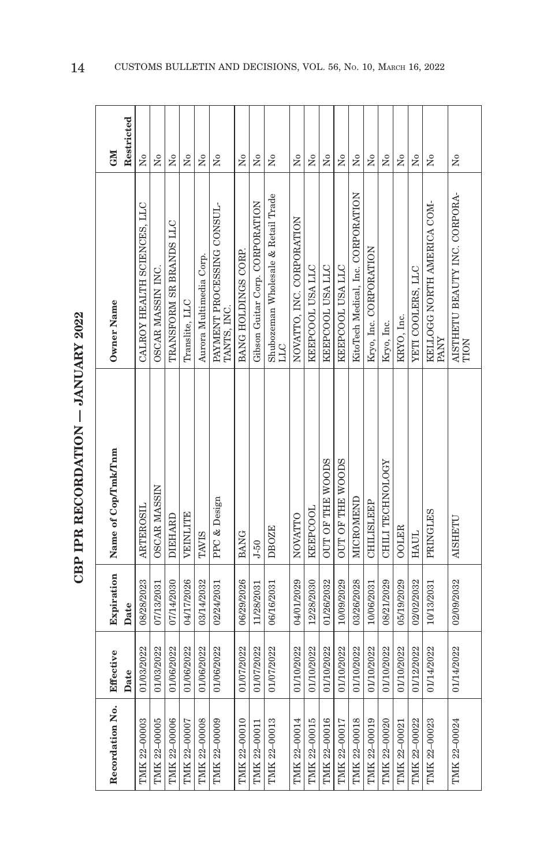| $\sim$ $\sim$ $\sim$ $\sim$ $\sim$ $\sim$ $\sim$ $\sim$ |
|---------------------------------------------------------|
|                                                         |
| -<br>-<br>-<br>-<br>-                                   |
| .<br>ו<br>ו                                             |
| ・くくじょ                                                   |
|                                                         |
| ŗ                                                       |

| Owner Name<br>Name of Cop/Tmk/Tnm<br>Expiration<br>Effective  |  |                                                            | <b>NE</b>           |
|---------------------------------------------------------------|--|------------------------------------------------------------|---------------------|
| Date<br>Date                                                  |  |                                                            | Restricted          |
| ARTEROSIL<br>08/28/2023<br>01/03/2022                         |  | CALROY HEALTH SCIENCES, LLC                                | $\tilde{X}^{\circ}$ |
| <b>OSCAR MASSIN</b><br>07/13/2031<br>01/03/2022               |  | OSCAR MASSIN INC.                                          | Σó                  |
| <b>DIEHARD</b><br>07/14/2030<br>01/06/2022                    |  | TRANSFORM SR BRANDS LLC                                    | Χo                  |
| Translite, LLC<br><b>VEINLITE</b><br>04/17/2026<br>01/06/2022 |  |                                                            | Χo                  |
| TAVIS<br>03/14/2032<br>01/06/2022                             |  | Aurora Multimedia Corp.                                    | $\tilde{Z}$         |
| PPC & Design<br>02/24/2031<br>01/06/2022                      |  | PAYMENT PROCESSING CONSUL-<br>TANTS, INC.                  | $\tilde{z}$         |
| <b>BANG</b><br>06/29/2026<br>01/07/2022                       |  | BANG HOLDINGS CORP.                                        | ż                   |
| $J - 50$<br>11/28/2031<br>01/07/2022                          |  | Gibson Guitar Corp. CORPORATION                            | Σó                  |
| <b>LLC</b><br><b>DBOZE</b><br>06/16/2031<br>01/07/2022        |  | Shubozeman Wholesale & Retail Trade                        | ż                   |
| NOVATTO<br>04/01/2029<br>01/10/2022                           |  | NOVATIO. INC. CORPORATION                                  | $\overline{N}$      |
| <b>KEEPCOOL</b><br>12/28/2030<br>01/10/2022                   |  | KEEPCOOL USA LLC                                           | Σó                  |
| OUT OF THE WOODS<br>01/26/2032<br>01/10/2022                  |  | KEEPCOOL USA LLC                                           | Χo                  |
| OUT OF THE WOODS<br>10/09/2029<br>01/10/2022                  |  | KEEPCOOL USA LLC                                           | Σó                  |
| MICROMEND<br>03/26/2028<br>01/10/2022                         |  | KitoTech Medical, Inc. CORPORATION                         | Σó                  |
| CHILISLEEP<br>10/06/2031<br>01/10/2022                        |  | Kryo, Inc. CORPORATION                                     | Σó                  |
| CHILI TECHNOLOGY<br>08/21/2029<br>01/10/2022                  |  | Kryo, Inc.                                                 | $\tilde{\rm X}^0$   |
| <b>OOLER</b><br>05/19/2029<br>01/10/2022                      |  | KRYO, Inc.                                                 | Σó                  |
| <b>HAUL</b><br>02/02/2032<br>01/12/2022                       |  | YETI COOLERS, LLC                                          | $\overline{N}$      |
| PANY<br>PRINGLES<br>10/13/2031<br>01/14/2022                  |  | KELLOGG NORTH AMERICA COM-                                 | $\overline{R}$      |
| <b>AISHETU</b><br>02/09/2032<br>01/14/2022                    |  | $\frac{\text{AISTHETU BEAUTY INC. CORPORA-}}{\text{TION}}$ | Σó                  |
|                                                               |  |                                                            |                     |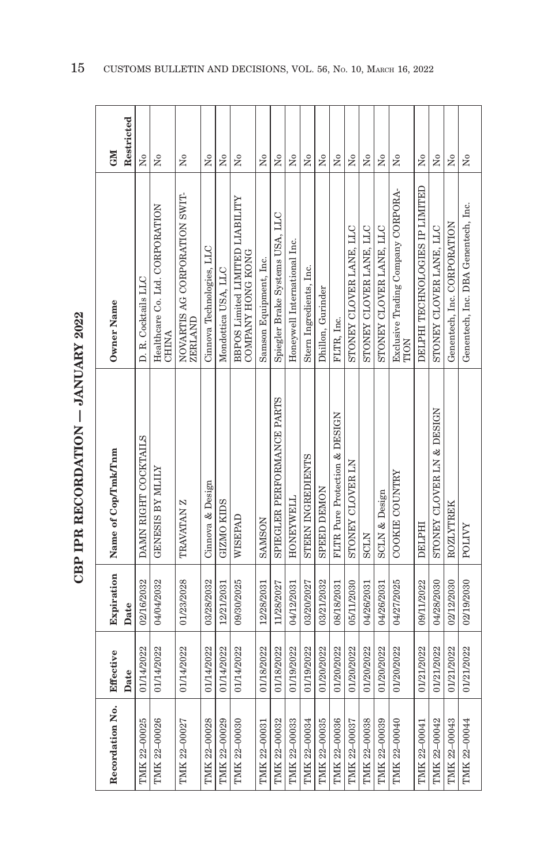| ١                                                                                                              |  |
|----------------------------------------------------------------------------------------------------------------|--|
| che de de la componente de la componente de la componente de la componente de la componente de la componente d |  |
|                                                                                                                |  |
|                                                                                                                |  |
| $\frac{1}{2}$                                                                                                  |  |
|                                                                                                                |  |

| Recordation No. | Effective  | Expiration | Name of Cop/Tmk/Tnm           | Owner Name                                           | <b>NEO</b>              |
|-----------------|------------|------------|-------------------------------|------------------------------------------------------|-------------------------|
|                 | Date       | Date       |                               |                                                      | Restricted              |
| TMK 22-00025    | 01/14/2022 | 02/16/2032 | DAMN RIGHT COCKTAILS          | D. R. Cocktails LLC                                  | Σò                      |
| TMK 22-00026    | 01/14/2022 | 04/04/2032 | <b>GENESIS BY MILITY</b>      | Healthcare Co. Ltd. CORPORATION<br>CHINA             | Σó                      |
| TMK 22-00027    | 01/14/2022 | 01/23/2028 | TRAVATAN Z                    | NOVARTIS AG CORPORATION SWIT-<br><b>ZERLAND</b>      | $\tilde{X}^{\circ}$     |
| TMK 22-00028    | 01/14/2022 | 03/28/2032 | Cinnova & Design              | Cinnova Technologies, LLC                            | $\overline{R}$          |
| TMK 22-00029    | 01/14/2022 | 12/21/2031 | <b>GIZMO KIDS</b>             | Mondottica USA, LLC                                  | $\overline{M}$          |
| TMK 22-00030    | 01/14/2022 | 09/30/2025 | WISEPAD                       | BBPOS Limited LIMITED LIABILITY<br>COMPANY HONG KONG | $\overline{R}$          |
| TMK 22-00031    | 01/18/2022 | 12/28/2031 | <b>SAMSON</b>                 | Samson Equipment, Inc.                               | $\tilde{\rm X}^0$       |
| TMK 22-00032    | 01/18/2022 | 11/28/2027 | SPIEGLER PERFORMANCE PARTS    | Spiegler Brake Systems USA, LLC                      | ž                       |
| TMK 22-00033    | 01/19/2022 | 04/12/2031 | <b>HONEYWELL</b>              | Honeywell International Inc.                         | Σó                      |
| TMK 22-00034    | 01/19/2022 | 03/20/2027 | STERN INGREDIENTS             | Stern Ingredients, Inc.                              | $\tilde{\mathbf{X}}$    |
| TMK 22-00035    | 01/20/2022 | 03/21/2032 | <b>SPEED DEMON</b>            | Dhillon, Gurinder                                    | $\overline{X}^{\circ}$  |
| TMK 22-00036    | 01/20/2022 | 08/18/2031 | FLTR Pure Protection & DESIGN | FLTR, Inc.                                           | Σó                      |
| TMK 22-00037    | 01/20/2022 | 05/11/2030 | STONEY CLOVER LN              | STONEY CLOVER LANE, LLC                              | Σó                      |
| TMK 22-00038    | 01/20/2022 | 04/26/2031 | <b>SCLN</b>                   | STONEY CLOVER LANE, LLC                              | Σò                      |
| TMK 22-00039    | 01/20/2022 | 04/26/2031 | <b>SCLN &amp; Design</b>      | STONEY CLOVER LANE, LLC                              | ż                       |
| TMK 22-00040    | 01/20/2022 | 04/27/2025 | COOKIE COUNTRY                | Exclusive Trading Company CORPORA-<br>TION           | ž                       |
| TMK 22-00041    | 01/21/2022 | 09/11/2022 | DELPHI                        | DELPHI TECHNOLOGIES IP LIMITED                       | $\tilde{Z}$             |
| TMK 22-00042    | 01/21/2022 | 04/28/2030 | STONEY CLOVER LN & DESIGN     | STONEY CLOVER LANE, LLC                              | Σó                      |
| TMK 22-00043    | 01/21/2022 | 02/12/2030 | ROZLYTREK                     | Genentech, Inc. CORPORATION                          | Σó                      |
| TMK 22-00044    | 01/21/2022 | 02/19/2030 | POLIVY                        | Genentech, Inc. DBA Genentech, Inc.                  | $\tilde{\rm x}^{\rm o}$ |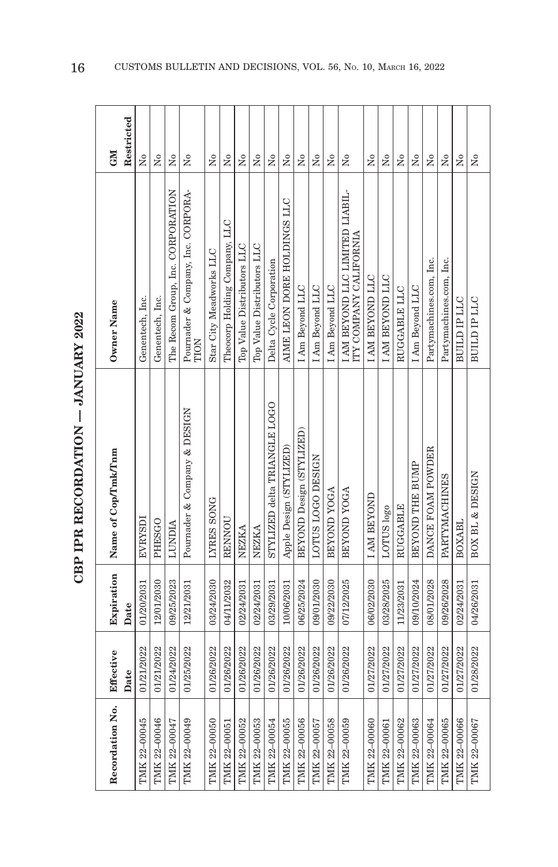| ĺ                       |
|-------------------------|
| -<br>-<br>-             |
|                         |
|                         |
| A THE A FACTO A FACTO A |
|                         |
|                         |
| $\frac{1}{2}$           |
|                         |

| Recordation No. | Effective  | Expiration | Name of Cop/Tmk/Tnm          | Owner Name                                                | <b>GM</b>            |
|-----------------|------------|------------|------------------------------|-----------------------------------------------------------|----------------------|
|                 | Date       | Date       |                              |                                                           | Restricted           |
| TMK 22-00045    | 01/21/2022 | 01/20/2031 | EVRYSDI                      | Genentech, Inc.                                           | Σó                   |
| TMK 22-00046    | 01/21/2022 | 12/01/2030 | PHESGO                       | Genentech, Inc.                                           | Σó                   |
| TMK 22-00047    | 01/24/2022 | 09/25/2023 | <b>TIMPIY</b>                | The Recom Group, Inc. CORPORATION                         | $\overline{N}$       |
| TMK 22-00049    | 01/25/2022 | 12/21/2031 | Pournader & Company & DESIGN | Pournader & Company, Inc. CORPORA-<br>TION                | $\tilde{\mathbf{z}}$ |
| TMK 22-00050    | 01/26/2022 | 03/24/2030 | LYRES SONG                   | Star City Meadworks LLC                                   | ž                    |
| TMK 22-00051    | 01/26/2022 | 04/11/2032 | RENNOU                       | Theocorp Holding Company, LLC                             | Σó                   |
| TMK 22-00052    | 01/26/2022 | 02/24/2031 | NEZKA                        | Top Value Distributors LLC                                | Σó                   |
| TMK 22-00053    | 01/26/2022 | 02/24/2031 | NEZKA                        | Top Value Distributors LLC                                | Χo                   |
| TMK 22-00054    | 01/26/2022 | 03/29/2031 | STYLIZED delta TRIANGLE LOGO | Delta Cycle Corporation                                   | $\tilde{\mathbf{z}}$ |
| TMK 22-00055    | 01/26/2022 | 10/06/2031 | Apple Design (STYLIZED)      | AIME LEON DORE HOLDINGS LLC                               | ż                    |
| TMK 22-00056    | 01/26/2022 | 06/25/2024 | BEYOND Design (STYLIZED)     | I Am Beyond LLC                                           | Σó                   |
| TMK 22-00057    | 01/26/2022 | 09/01/2030 | LOTUS LOGO DESIGN            | I Am Beyond LLC                                           | $\tilde{\rm X}^0$    |
| TMK 22-00058    | 01/26/2022 | 09/22/2030 | BEYOND YOGA                  | I Am Beyond LLC                                           | $\overline{N}$       |
| TMK 22-00059    | 01/26/2022 | 07/12/2025 | BEYOND YOGA                  | I AM BEYOND LLC LIMITED LIABIL-<br>ITY COMPANY CALIFORNIA | Σò                   |
| TMK 22-00060    | 01/27/2022 | 06/02/2030 | <b>IAM BEYOND</b>            | <b>I AM BEYOND LLC</b>                                    | ž                    |
| TMK 22-00061    | 01/27/2022 | 03/28/2025 | LOTUS logo                   | <b>LAM BEYOND LLC</b>                                     | $\tilde{\rm X}^0$    |
| TMK 22-00062    | 01/27/2022 | 11/23/2031 | <b>RUGGABLE</b>              | RUGGABLE LLC                                              | $\overline{M}$       |
| TMK 22-00063    | 01/27/2022 | 09/10/2024 | BEYOND THE BUMP              | I Am Beyond LLC                                           | ż                    |
| TMK 22-00064    | 01/27/2022 | 08/01/2028 | DANCE FOAM POWDER            | Partymachines.com, Inc.                                   | Σò                   |
| TMK 22-00065    | 01/27/2022 | 09/26/2028 | PARTYMACHINES                | Partymachines.com, Inc.                                   | $\tilde{Z}$          |
| TMK 22-00066    | 01/27/2022 | 02/24/2031 | BOXABL                       | <b>BUILD IP LLC</b>                                       | $\tilde{\mathbf{X}}$ |
| TMK 22-00067    | 01/28/2022 | 04/26/2031 | BOX BL & DESIGN              | BUILD IP LLC                                              | $\tilde{z}$          |
|                 |            |            |                              |                                                           |                      |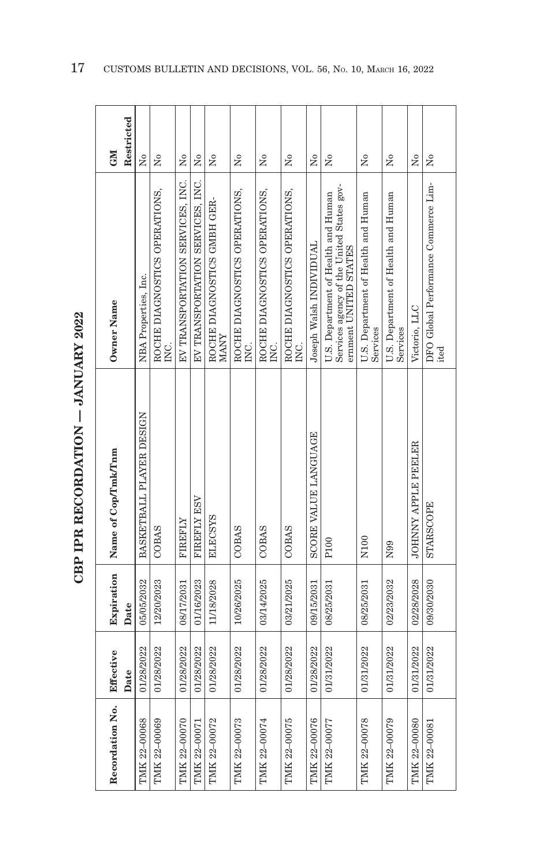| $\sim$ $\sim$ $\sim$ $\sim$ $\sim$ $\sim$ $\sim$ $\sim$ |
|---------------------------------------------------------|
|                                                         |
| -<br>-<br>-<br>-<br>-                                   |
| .<br>ו<br>ו                                             |
| ・くくじょ                                                   |
|                                                         |
| ŗ                                                       |

| Recordation No. | Effective          | Expiration         | Name of Cop/Tmk/Tnm        | Owner Name                                                                                                | <b>NEO</b>                   |
|-----------------|--------------------|--------------------|----------------------------|-----------------------------------------------------------------------------------------------------------|------------------------------|
| TMK 22-00068    | 01/28/2022<br>Date | 05/05/2032<br>Date | BASKETBALL PLAYER DESIGN   | NBA Properties, Inc.                                                                                      | Restricted<br>$\overline{M}$ |
| TMK 22-00069    | 01/28/2022         | 12/20/2023         | <b>COBAS</b>               | ROCHE DIAGNOSTICS OPERATIONS,<br>C.<br>E                                                                  | ż                            |
| TMK 22-00070    | 01/28/2022         | 08/17/2031         | <b>FIREFLY</b>             | EV TRANSPORTATION SERVICES, INC.                                                                          | Σó                           |
| TMK 22-00071    | 01/28/2022         | 01/16/2023         | FIREFLY ESV                | EV TRANSPORTATION SERVICES, INC.                                                                          | Σò                           |
| TMK 22-00072    | 01/28/2022         | 11/18/2028         | <b>ELECSYS</b>             | ROCHE DIAGNOSTICS GMBH GER-<br><b>MANY</b>                                                                | ż                            |
| TMK 22-00073    | 01/28/2022         | 10/26/2025         | COBAS                      | ROCHE DIAGNOSTICS OPERATIONS,<br>INC.                                                                     | Σò                           |
| TMK 22-00074    | 01/28/2022         | 03/14/2025         | COBAS                      | ROCHE DIAGNOSTICS OPERATIONS,<br>INC.                                                                     | ż                            |
| TMK 22-00075    | 01/28/2022         | 03/21/2025         | COBAS                      | ROCHE DIAGNOSTICS OPERATIONS,<br>INC.                                                                     | ż                            |
| TMK 22-00076    | 01/28/2022         | 09/15/2031         | SCORE VALUE LANGUAGE       | Joseph Walsh INDIVIDUAL                                                                                   | Σó                           |
| TMK 22-00077    | 01/31/2022         | 08/25/2031         | P100                       | Services agency of the United States gov-<br>U.S. Department of Health and Human<br>ernment UNITED STATES | ż                            |
| TMK 22-00078    | 01/31/2022         | 08/25/2031         | N <sub>100</sub>           | U.S. Department of Health and Human<br>Services                                                           | ž                            |
| TMK 22-00079    | 01/31/2022         | 02/23/2032         | N99                        | U.S. Department of Health and Human<br>Services                                                           | Σò                           |
| TMK 22-00080    | 01/31/2022         | 02/28/2028         | <b>JOHNNY APPLE PEELER</b> | Victorio, LLC                                                                                             | Σó                           |
| TMK 22-00081    | 01/31/2022         | 09/30/2030         | <b>STARSCOPE</b>           | DFO Global Performance Commerce Lim-<br>ited                                                              | ž                            |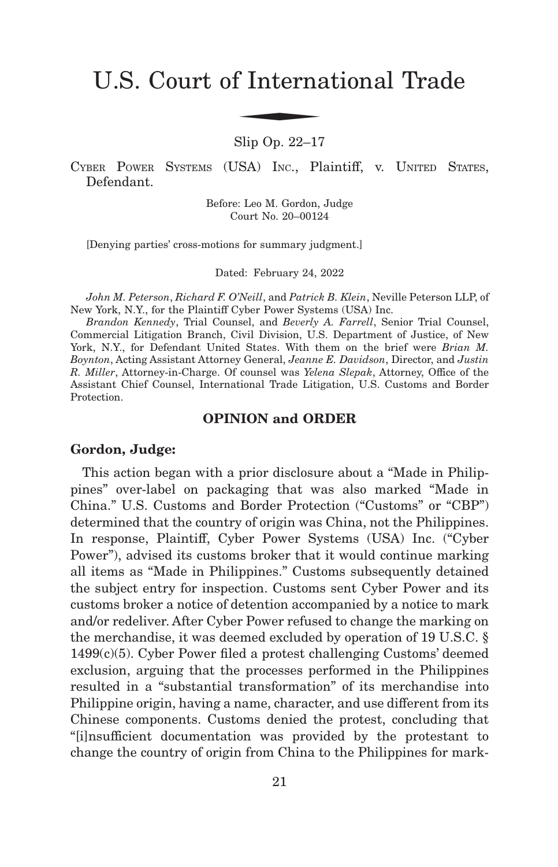# U.S. Court of International Trade f Interna

Slip Op. 22–17

CYBER POWER SYSTEMS (USA) INC., Plaintiff, v. UNITED STATES, Defendant.

> Before: Leo M. Gordon, Judge Court No. 20–00124

[Denying parties' cross-motions for summary judgment.]

Dated: February 24, 2022

*John M. Peterson*, *Richard F. O'Neill*, and *Patrick B. Klein*, Neville Peterson LLP, of New York, N.Y., for the Plaintiff Cyber Power Systems (USA) Inc.

*Brandon Kennedy*, Trial Counsel, and *Beverly A. Farrell*, Senior Trial Counsel, Commercial Litigation Branch, Civil Division, U.S. Department of Justice, of New York, N.Y., for Defendant United States. With them on the brief were *Brian M. Boynton*, Acting Assistant Attorney General, *Jeanne E. Davidson*, Director, and *Justin R. Miller*, Attorney-in-Charge. Of counsel was *Yelena Slepak*, Attorney, Office of the Assistant Chief Counsel, International Trade Litigation, U.S. Customs and Border Protection.

#### **OPINION and ORDER**

#### **Gordon, Judge:**

This action began with a prior disclosure about a "Made in Philippines" over-label on packaging that was also marked "Made in China." U.S. Customs and Border Protection ("Customs" or "CBP") determined that the country of origin was China, not the Philippines. In response, Plaintiff, Cyber Power Systems (USA) Inc. ("Cyber Power"), advised its customs broker that it would continue marking all items as "Made in Philippines." Customs subsequently detained the subject entry for inspection. Customs sent Cyber Power and its customs broker a notice of detention accompanied by a notice to mark and/or redeliver. After Cyber Power refused to change the marking on the merchandise, it was deemed excluded by operation of 19 U.S.C. § 1499(c)(5). Cyber Power filed a protest challenging Customs' deemed exclusion, arguing that the processes performed in the Philippines resulted in a "substantial transformation" of its merchandise into Philippine origin, having a name, character, and use different from its Chinese components. Customs denied the protest, concluding that "[i]nsufficient documentation was provided by the protestant to change the country of origin from China to the Philippines for mark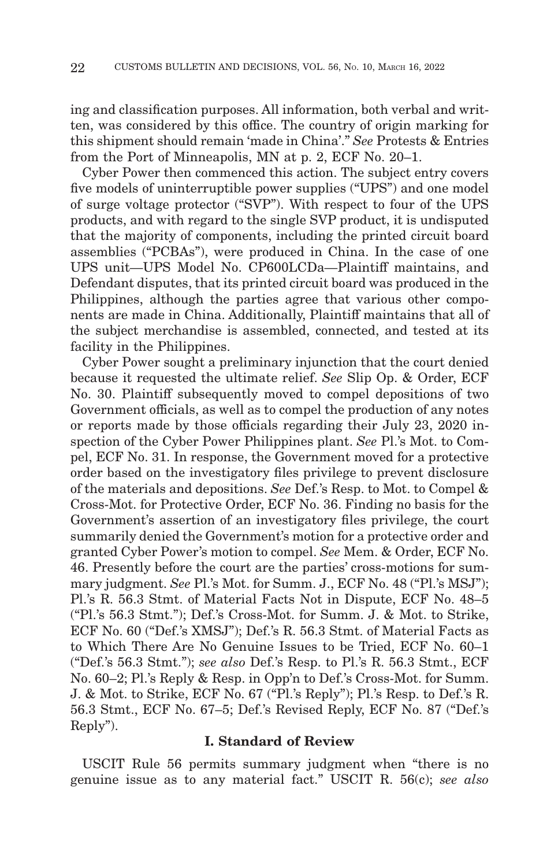ing and classification purposes. All information, both verbal and written, was considered by this office. The country of origin marking for this shipment should remain 'made in China'." *See* Protests & Entries from the Port of Minneapolis, MN at p. 2, ECF No. 20–1.

Cyber Power then commenced this action. The subject entry covers five models of uninterruptible power supplies ("UPS") and one model of surge voltage protector ("SVP"). With respect to four of the UPS products, and with regard to the single SVP product, it is undisputed that the majority of components, including the printed circuit board assemblies ("PCBAs"), were produced in China. In the case of one UPS unit—UPS Model No. CP600LCDa—Plaintiff maintains, and Defendant disputes, that its printed circuit board was produced in the Philippines, although the parties agree that various other components are made in China. Additionally, Plaintiff maintains that all of the subject merchandise is assembled, connected, and tested at its facility in the Philippines.

Cyber Power sought a preliminary injunction that the court denied because it requested the ultimate relief. *See* Slip Op. & Order, ECF No. 30. Plaintiff subsequently moved to compel depositions of two Government officials, as well as to compel the production of any notes or reports made by those officials regarding their July 23, 2020 inspection of the Cyber Power Philippines plant. *See* Pl.'s Mot. to Compel, ECF No. 31. In response, the Government moved for a protective order based on the investigatory files privilege to prevent disclosure of the materials and depositions. *See* Def.'s Resp. to Mot. to Compel & Cross-Mot. for Protective Order, ECF No. 36. Finding no basis for the Government's assertion of an investigatory files privilege, the court summarily denied the Government's motion for a protective order and granted Cyber Power's motion to compel. *See* Mem. & Order, ECF No. 46. Presently before the court are the parties' cross-motions for summary judgment. *See* Pl.'s Mot. for Summ. J., ECF No. 48 ("Pl.'s MSJ"); Pl.'s R. 56.3 Stmt. of Material Facts Not in Dispute, ECF No. 48–5 ("Pl.'s 56.3 Stmt."); Def.'s Cross-Mot. for Summ. J. & Mot. to Strike, ECF No. 60 ("Def.'s XMSJ"); Def.'s R. 56.3 Stmt. of Material Facts as to Which There Are No Genuine Issues to be Tried, ECF No. 60–1 ("Def.'s 56.3 Stmt."); *see also* Def.'s Resp. to Pl.'s R. 56.3 Stmt., ECF No. 60–2; Pl.'s Reply & Resp. in Opp'n to Def.'s Cross-Mot. for Summ. J. & Mot. to Strike, ECF No. 67 ("Pl.'s Reply"); Pl.'s Resp. to Def.'s R. 56.3 Stmt., ECF No. 67–5; Def.'s Revised Reply, ECF No. 87 ("Def.'s Reply").

#### **I. Standard of Review**

USCIT Rule 56 permits summary judgment when "there is no genuine issue as to any material fact." USCIT R. 56(c); *see also*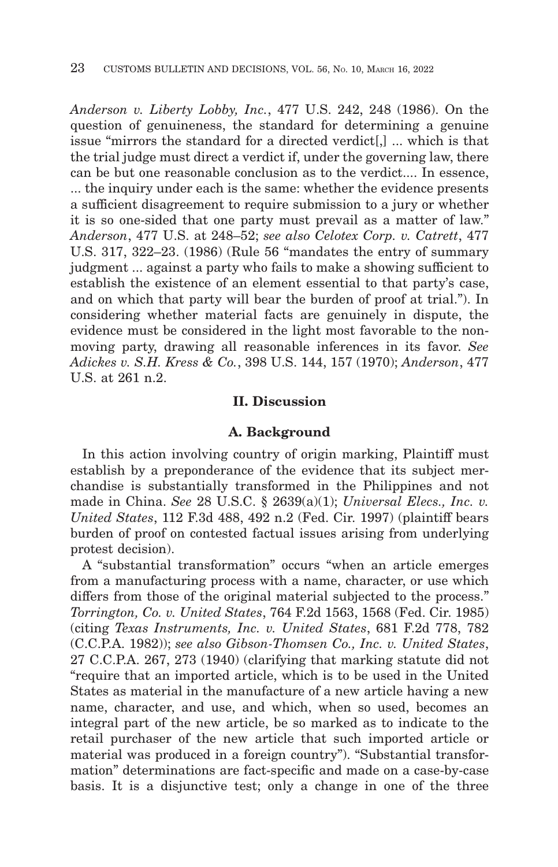*Anderson v. Liberty Lobby, Inc.*, 477 U.S. 242, 248 (1986). On the question of genuineness, the standard for determining a genuine issue "mirrors the standard for a directed verdict[,] ... which is that the trial judge must direct a verdict if, under the governing law, there can be but one reasonable conclusion as to the verdict.... In essence, ... the inquiry under each is the same: whether the evidence presents a sufficient disagreement to require submission to a jury or whether it is so one-sided that one party must prevail as a matter of law." *Anderson*, 477 U.S. at 248–52; *see also Celotex Corp. v. Catrett*, 477 U.S. 317, 322–23. (1986) (Rule 56 "mandates the entry of summary judgment ... against a party who fails to make a showing sufficient to establish the existence of an element essential to that party's case, and on which that party will bear the burden of proof at trial."). In considering whether material facts are genuinely in dispute, the evidence must be considered in the light most favorable to the nonmoving party, drawing all reasonable inferences in its favor. *See Adickes v. S.H. Kress & Co.*, 398 U.S. 144, 157 (1970); *Anderson*, 477 U.S. at 261 n.2.

#### **II. Discussion**

#### **A. Background**

In this action involving country of origin marking, Plaintiff must establish by a preponderance of the evidence that its subject merchandise is substantially transformed in the Philippines and not made in China. *See* 28 U.S.C. § 2639(a)(1); *Universal Elecs., Inc. v. United States*, 112 F.3d 488, 492 n.2 (Fed. Cir. 1997) (plaintiff bears burden of proof on contested factual issues arising from underlying protest decision).

A "substantial transformation" occurs "when an article emerges from a manufacturing process with a name, character, or use which differs from those of the original material subjected to the process." *Torrington, Co. v. United States*, 764 F.2d 1563, 1568 (Fed. Cir. 1985) (citing *Texas Instruments, Inc. v. United States*, 681 F.2d 778, 782 (C.C.P.A. 1982)); *see also Gibson-Thomsen Co., Inc. v. United States*, 27 C.C.P.A. 267, 273 (1940) (clarifying that marking statute did not "require that an imported article, which is to be used in the United States as material in the manufacture of a new article having a new name, character, and use, and which, when so used, becomes an integral part of the new article, be so marked as to indicate to the retail purchaser of the new article that such imported article or material was produced in a foreign country"). "Substantial transformation" determinations are fact-specific and made on a case-by-case basis. It is a disjunctive test; only a change in one of the three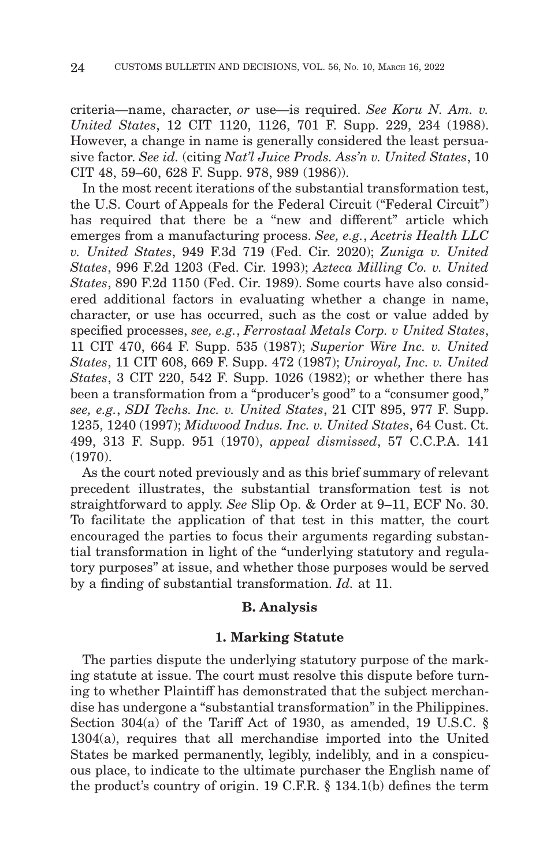criteria—name, character, *or* use—is required. *See Koru N. Am. v. United States*, 12 CIT 1120, 1126, 701 F. Supp. 229, 234 (1988). However, a change in name is generally considered the least persuasive factor. *See id.* (citing *Nat'l Juice Prods. Ass'n v. United States*, 10 CIT 48, 59–60, 628 F. Supp. 978, 989 (1986)).

In the most recent iterations of the substantial transformation test, the U.S. Court of Appeals for the Federal Circuit ("Federal Circuit") has required that there be a "new and different" article which emerges from a manufacturing process. *See, e.g.*, *Acetris Health LLC v. United States*, 949 F.3d 719 (Fed. Cir. 2020); *Zuniga v. United States*, 996 F.2d 1203 (Fed. Cir. 1993); *Azteca Milling Co. v. United States*, 890 F.2d 1150 (Fed. Cir. 1989). Some courts have also considered additional factors in evaluating whether a change in name, character, or use has occurred, such as the cost or value added by specified processes, *see, e.g.*, *Ferrostaal Metals Corp. v United States*, 11 CIT 470, 664 F. Supp. 535 (1987); *Superior Wire Inc. v. United States*, 11 CIT 608, 669 F. Supp. 472 (1987); *Uniroyal, Inc. v. United States*, 3 CIT 220, 542 F. Supp. 1026 (1982); or whether there has been a transformation from a "producer's good" to a "consumer good," *see, e.g.*, *SDI Techs. Inc. v. United States*, 21 CIT 895, 977 F. Supp. 1235, 1240 (1997); *Midwood Indus. Inc. v. United States*, 64 Cust. Ct. 499, 313 F. Supp. 951 (1970), *appeal dismissed*, 57 C.C.P.A. 141 (1970).

As the court noted previously and as this brief summary of relevant precedent illustrates, the substantial transformation test is not straightforward to apply. *See* Slip Op. & Order at 9–11, ECF No. 30. To facilitate the application of that test in this matter, the court encouraged the parties to focus their arguments regarding substantial transformation in light of the "underlying statutory and regulatory purposes" at issue, and whether those purposes would be served by a finding of substantial transformation. *Id.* at 11.

#### **B. Analysis**

#### **1. Marking Statute**

The parties dispute the underlying statutory purpose of the marking statute at issue. The court must resolve this dispute before turning to whether Plaintiff has demonstrated that the subject merchandise has undergone a "substantial transformation" in the Philippines. Section 304(a) of the Tariff Act of 1930, as amended, 19 U.S.C. § 1304(a), requires that all merchandise imported into the United States be marked permanently, legibly, indelibly, and in a conspicuous place, to indicate to the ultimate purchaser the English name of the product's country of origin. 19 C.F.R. § 134.1(b) defines the term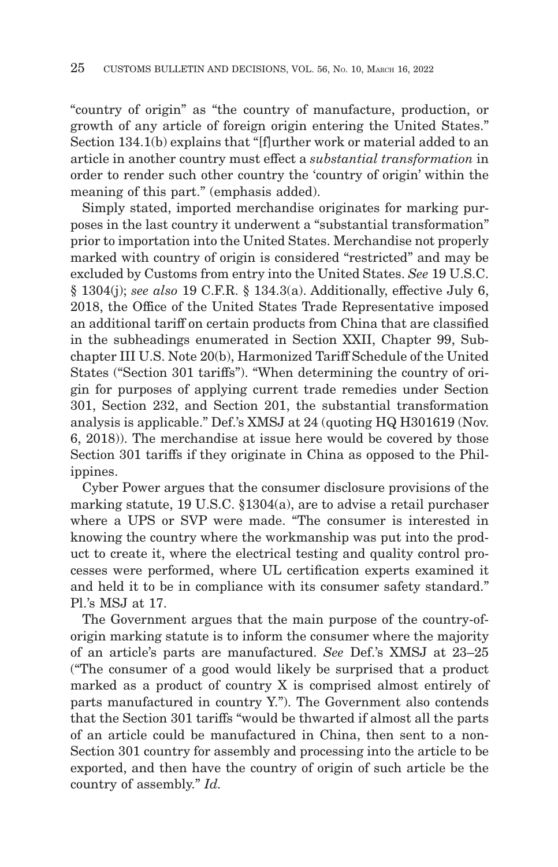"country of origin" as "the country of manufacture, production, or growth of any article of foreign origin entering the United States." Section 134.1(b) explains that "[f]urther work or material added to an article in another country must effect a *substantial transformation* in order to render such other country the 'country of origin' within the meaning of this part." (emphasis added).

Simply stated, imported merchandise originates for marking purposes in the last country it underwent a "substantial transformation" prior to importation into the United States. Merchandise not properly marked with country of origin is considered "restricted" and may be excluded by Customs from entry into the United States. *See* 19 U.S.C. § 1304(j); *see also* 19 C.F.R. § 134.3(a). Additionally, effective July 6, 2018, the Office of the United States Trade Representative imposed an additional tariff on certain products from China that are classified in the subheadings enumerated in Section XXII, Chapter 99, Subchapter III U.S. Note 20(b), Harmonized Tariff Schedule of the United States ("Section 301 tariffs"). "When determining the country of origin for purposes of applying current trade remedies under Section 301, Section 232, and Section 201, the substantial transformation analysis is applicable." Def.'s XMSJ at 24 (quoting HQ H301619 (Nov. 6, 2018)). The merchandise at issue here would be covered by those Section 301 tariffs if they originate in China as opposed to the Philippines.

Cyber Power argues that the consumer disclosure provisions of the marking statute, 19 U.S.C. §1304(a), are to advise a retail purchaser where a UPS or SVP were made. "The consumer is interested in knowing the country where the workmanship was put into the product to create it, where the electrical testing and quality control processes were performed, where UL certification experts examined it and held it to be in compliance with its consumer safety standard." Pl.'s MSJ at 17.

The Government argues that the main purpose of the country-oforigin marking statute is to inform the consumer where the majority of an article's parts are manufactured. *See* Def.'s XMSJ at 23–25 ("The consumer of a good would likely be surprised that a product marked as a product of country X is comprised almost entirely of parts manufactured in country Y."). The Government also contends that the Section 301 tariffs "would be thwarted if almost all the parts of an article could be manufactured in China, then sent to a non-Section 301 country for assembly and processing into the article to be exported, and then have the country of origin of such article be the country of assembly." *Id.*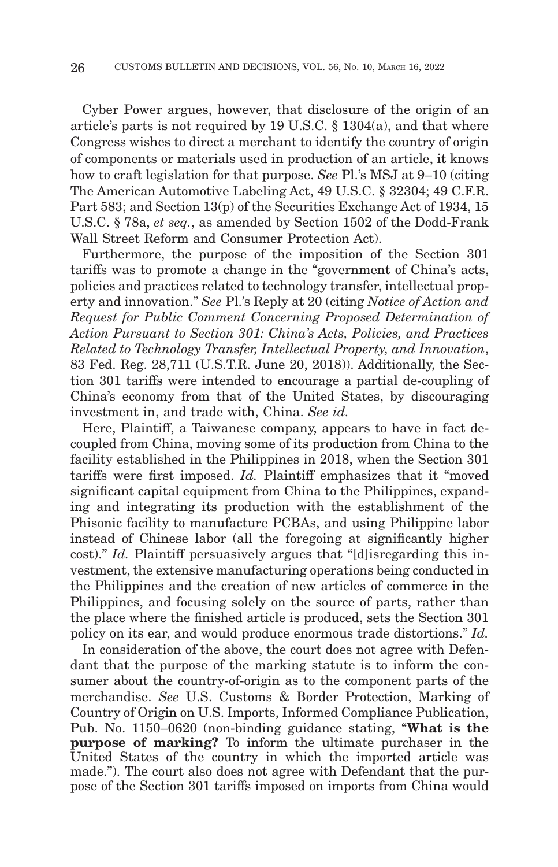Cyber Power argues, however, that disclosure of the origin of an article's parts is not required by 19 U.S.C. § 1304(a), and that where Congress wishes to direct a merchant to identify the country of origin of components or materials used in production of an article, it knows how to craft legislation for that purpose. *See* Pl.'s MSJ at 9–10 (citing The American Automotive Labeling Act, 49 U.S.C. § 32304; 49 C.F.R. Part 583; and Section 13(p) of the Securities Exchange Act of 1934, 15 U.S.C. § 78a, *et seq.*, as amended by Section 1502 of the Dodd-Frank Wall Street Reform and Consumer Protection Act).

Furthermore, the purpose of the imposition of the Section 301 tariffs was to promote a change in the "government of China's acts, policies and practices related to technology transfer, intellectual property and innovation." *See* Pl.'s Reply at 20 (citing *Notice of Action and Request for Public Comment Concerning Proposed Determination of Action Pursuant to Section 301: China's Acts, Policies, and Practices Related to Technology Transfer, Intellectual Property, and Innovation*, 83 Fed. Reg. 28,711 (U.S.T.R. June 20, 2018)). Additionally, the Section 301 tariffs were intended to encourage a partial de-coupling of China's economy from that of the United States, by discouraging investment in, and trade with, China. *See id.*

Here, Plaintiff, a Taiwanese company, appears to have in fact decoupled from China, moving some of its production from China to the facility established in the Philippines in 2018, when the Section 301 tariffs were first imposed. *Id.* Plaintiff emphasizes that it "moved significant capital equipment from China to the Philippines, expanding and integrating its production with the establishment of the Phisonic facility to manufacture PCBAs, and using Philippine labor instead of Chinese labor (all the foregoing at significantly higher cost)." *Id.* Plaintiff persuasively argues that "[d]isregarding this investment, the extensive manufacturing operations being conducted in the Philippines and the creation of new articles of commerce in the Philippines, and focusing solely on the source of parts, rather than the place where the finished article is produced, sets the Section 301 policy on its ear, and would produce enormous trade distortions." *Id.*

In consideration of the above, the court does not agree with Defendant that the purpose of the marking statute is to inform the consumer about the country-of-origin as to the component parts of the merchandise. *See* U.S. Customs & Border Protection, Marking of Country of Origin on U.S. Imports, Informed Compliance Publication, Pub. No. 1150–0620 (non-binding guidance stating, "**What is the purpose of marking?** To inform the ultimate purchaser in the United States of the country in which the imported article was made."). The court also does not agree with Defendant that the purpose of the Section 301 tariffs imposed on imports from China would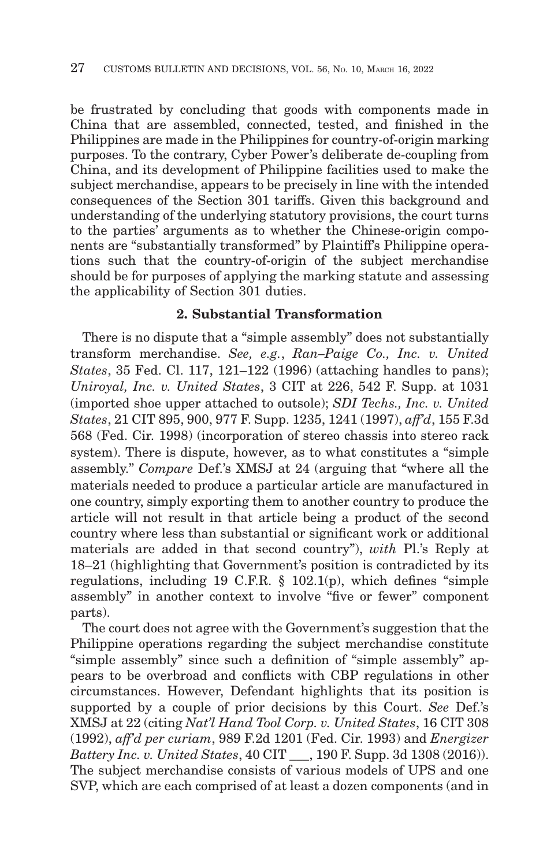be frustrated by concluding that goods with components made in China that are assembled, connected, tested, and finished in the Philippines are made in the Philippines for country-of-origin marking purposes. To the contrary, Cyber Power's deliberate de-coupling from China, and its development of Philippine facilities used to make the subject merchandise, appears to be precisely in line with the intended consequences of the Section 301 tariffs. Given this background and understanding of the underlying statutory provisions, the court turns to the parties' arguments as to whether the Chinese-origin components are "substantially transformed" by Plaintiff's Philippine operations such that the country-of-origin of the subject merchandise should be for purposes of applying the marking statute and assessing the applicability of Section 301 duties.

## **2. Substantial Transformation**

There is no dispute that a "simple assembly" does not substantially transform merchandise. *See, e.g.*, *Ran–Paige Co., Inc. v. United States*, 35 Fed. Cl. 117, 121–122 (1996) (attaching handles to pans); *Uniroyal, Inc. v. United States*, 3 CIT at 226, 542 F. Supp. at 1031 (imported shoe upper attached to outsole); *SDI Techs., Inc. v. United States*, 21 CIT 895, 900, 977 F. Supp. 1235, 1241 (1997), *aff'd*, 155 F.3d 568 (Fed. Cir. 1998) (incorporation of stereo chassis into stereo rack system). There is dispute, however, as to what constitutes a "simple assembly." *Compare* Def.'s XMSJ at 24 (arguing that "where all the materials needed to produce a particular article are manufactured in one country, simply exporting them to another country to produce the article will not result in that article being a product of the second country where less than substantial or significant work or additional materials are added in that second country"), *with* Pl.'s Reply at 18–21 (highlighting that Government's position is contradicted by its regulations, including 19 C.F.R. § 102.1(p), which defines "simple assembly" in another context to involve "five or fewer" component parts).

The court does not agree with the Government's suggestion that the Philippine operations regarding the subject merchandise constitute "simple assembly" since such a definition of "simple assembly" appears to be overbroad and conflicts with CBP regulations in other circumstances. However, Defendant highlights that its position is supported by a couple of prior decisions by this Court. *See* Def.'s XMSJ at 22 (citing *Nat'l Hand Tool Corp. v. United States*, 16 CIT 308 (1992), *aff'd per curiam*, 989 F.2d 1201 (Fed. Cir. 1993) and *Energizer Battery Inc. v. United States*, 40 CIT \_\_\_, 190 F. Supp. 3d 1308 (2016)). The subject merchandise consists of various models of UPS and one SVP, which are each comprised of at least a dozen components (and in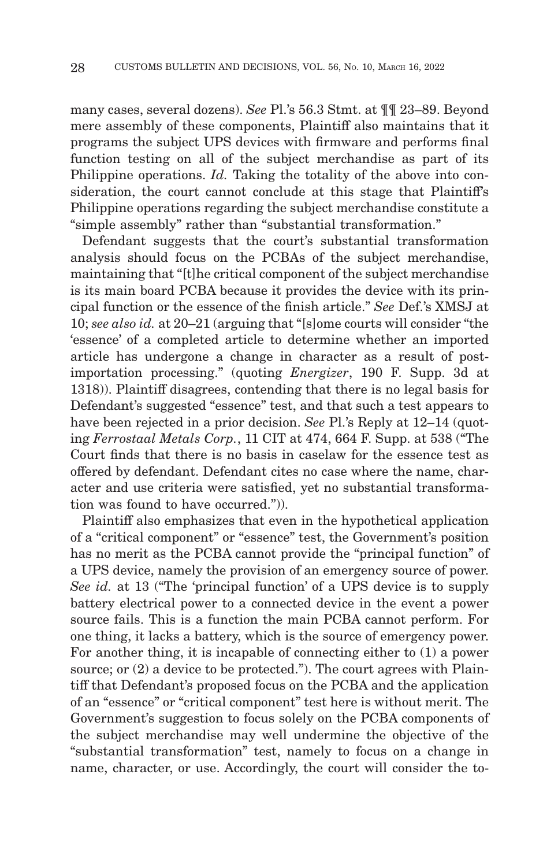many cases, several dozens). *See* Pl.'s 56.3 Stmt. at ¶¶ 23–89. Beyond mere assembly of these components, Plaintiff also maintains that it programs the subject UPS devices with firmware and performs final function testing on all of the subject merchandise as part of its Philippine operations. *Id.* Taking the totality of the above into consideration, the court cannot conclude at this stage that Plaintiff's Philippine operations regarding the subject merchandise constitute a "simple assembly" rather than "substantial transformation."

Defendant suggests that the court's substantial transformation analysis should focus on the PCBAs of the subject merchandise, maintaining that "[t]he critical component of the subject merchandise is its main board PCBA because it provides the device with its principal function or the essence of the finish article." *See* Def.'s XMSJ at 10; *see also id.* at 20–21 (arguing that "[s]ome courts will consider "the 'essence' of a completed article to determine whether an imported article has undergone a change in character as a result of postimportation processing." (quoting *Energizer*, 190 F. Supp. 3d at 1318)). Plaintiff disagrees, contending that there is no legal basis for Defendant's suggested "essence" test, and that such a test appears to have been rejected in a prior decision. *See* Pl.'s Reply at 12–14 (quoting *Ferrostaal Metals Corp.*, 11 CIT at 474, 664 F. Supp. at 538 ("The Court finds that there is no basis in caselaw for the essence test as offered by defendant. Defendant cites no case where the name, character and use criteria were satisfied, yet no substantial transformation was found to have occurred.")).

Plaintiff also emphasizes that even in the hypothetical application of a "critical component" or "essence" test, the Government's position has no merit as the PCBA cannot provide the "principal function" of a UPS device, namely the provision of an emergency source of power. *See id.* at 13 ("The 'principal function' of a UPS device is to supply battery electrical power to a connected device in the event a power source fails. This is a function the main PCBA cannot perform. For one thing, it lacks a battery, which is the source of emergency power. For another thing, it is incapable of connecting either to (1) a power source; or  $(2)$  a device to be protected."). The court agrees with Plaintiff that Defendant's proposed focus on the PCBA and the application of an "essence" or "critical component" test here is without merit. The Government's suggestion to focus solely on the PCBA components of the subject merchandise may well undermine the objective of the "substantial transformation" test, namely to focus on a change in name, character, or use. Accordingly, the court will consider the to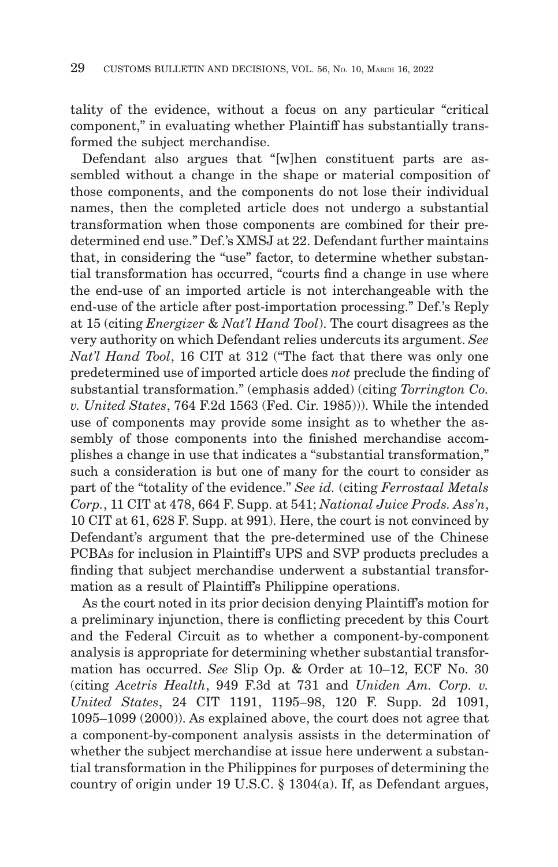tality of the evidence, without a focus on any particular "critical component," in evaluating whether Plaintiff has substantially transformed the subject merchandise.

Defendant also argues that "[w]hen constituent parts are assembled without a change in the shape or material composition of those components, and the components do not lose their individual names, then the completed article does not undergo a substantial transformation when those components are combined for their predetermined end use." Def.'s XMSJ at 22. Defendant further maintains that, in considering the "use" factor, to determine whether substantial transformation has occurred, "courts find a change in use where the end-use of an imported article is not interchangeable with the end-use of the article after post-importation processing." Def.'s Reply at 15 (citing *Energizer* & *Nat'l Hand Tool*). The court disagrees as the very authority on which Defendant relies undercuts its argument. *See Nat'l Hand Tool*, 16 CIT at 312 ("The fact that there was only one predetermined use of imported article does *not* preclude the finding of substantial transformation." (emphasis added) (citing *Torrington Co. v. United States*, 764 F.2d 1563 (Fed. Cir. 1985))). While the intended use of components may provide some insight as to whether the assembly of those components into the finished merchandise accomplishes a change in use that indicates a "substantial transformation," such a consideration is but one of many for the court to consider as part of the "totality of the evidence." *See id.* (citing *Ferrostaal Metals Corp.*, 11 CIT at 478, 664 F. Supp. at 541; *National Juice Prods. Ass'n*, 10 CIT at 61, 628 F. Supp. at 991). Here, the court is not convinced by Defendant's argument that the pre-determined use of the Chinese PCBAs for inclusion in Plaintiff's UPS and SVP products precludes a finding that subject merchandise underwent a substantial transformation as a result of Plaintiff's Philippine operations.

As the court noted in its prior decision denying Plaintiff's motion for a preliminary injunction, there is conflicting precedent by this Court and the Federal Circuit as to whether a component-by-component analysis is appropriate for determining whether substantial transformation has occurred. *See* Slip Op. & Order at 10–12, ECF No. 30 (citing *Acetris Health*, 949 F.3d at 731 and *Uniden Am. Corp. v. United States*, 24 CIT 1191, 1195–98, 120 F. Supp. 2d 1091, 1095–1099 (2000)). As explained above, the court does not agree that a component-by-component analysis assists in the determination of whether the subject merchandise at issue here underwent a substantial transformation in the Philippines for purposes of determining the country of origin under 19 U.S.C. § 1304(a). If, as Defendant argues,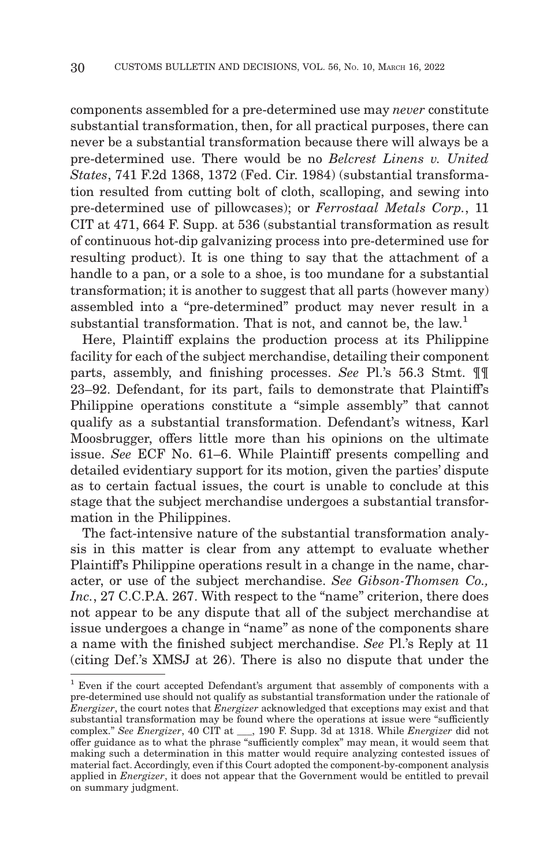components assembled for a pre-determined use may *never* constitute substantial transformation, then, for all practical purposes, there can never be a substantial transformation because there will always be a pre-determined use. There would be no *Belcrest Linens v. United States*, 741 F.2d 1368, 1372 (Fed. Cir. 1984) (substantial transformation resulted from cutting bolt of cloth, scalloping, and sewing into pre-determined use of pillowcases); or *Ferrostaal Metals Corp.*, 11 CIT at 471, 664 F. Supp. at 536 (substantial transformation as result of continuous hot-dip galvanizing process into pre-determined use for resulting product). It is one thing to say that the attachment of a handle to a pan, or a sole to a shoe, is too mundane for a substantial transformation; it is another to suggest that all parts (however many) assembled into a "pre-determined" product may never result in a substantial transformation. That is not, and cannot be, the law.<sup>1</sup>

Here, Plaintiff explains the production process at its Philippine facility for each of the subject merchandise, detailing their component parts, assembly, and finishing processes. *See* Pl.'s 56.3 Stmt. ¶¶ 23–92. Defendant, for its part, fails to demonstrate that Plaintiff's Philippine operations constitute a "simple assembly" that cannot qualify as a substantial transformation. Defendant's witness, Karl Moosbrugger, offers little more than his opinions on the ultimate issue. *See* ECF No. 61–6. While Plaintiff presents compelling and detailed evidentiary support for its motion, given the parties' dispute as to certain factual issues, the court is unable to conclude at this stage that the subject merchandise undergoes a substantial transformation in the Philippines.

The fact-intensive nature of the substantial transformation analysis in this matter is clear from any attempt to evaluate whether Plaintiff's Philippine operations result in a change in the name, character, or use of the subject merchandise. *See Gibson-Thomsen Co., Inc.*, 27 C.C.P.A. 267. With respect to the "name" criterion, there does not appear to be any dispute that all of the subject merchandise at issue undergoes a change in "name" as none of the components share a name with the finished subject merchandise. *See* Pl.'s Reply at 11 (citing Def.'s XMSJ at 26). There is also no dispute that under the

<sup>1</sup> Even if the court accepted Defendant's argument that assembly of components with a pre-determined use should not qualify as substantial transformation under the rationale of *Energizer*, the court notes that *Energizer* acknowledged that exceptions may exist and that substantial transformation may be found where the operations at issue were "sufficiently complex." *See Energizer*, 40 CIT at \_\_\_, 190 F. Supp. 3d at 1318. While *Energizer* did not offer guidance as to what the phrase "sufficiently complex" may mean, it would seem that making such a determination in this matter would require analyzing contested issues of material fact. Accordingly, even if this Court adopted the component-by-component analysis applied in *Energizer*, it does not appear that the Government would be entitled to prevail on summary judgment.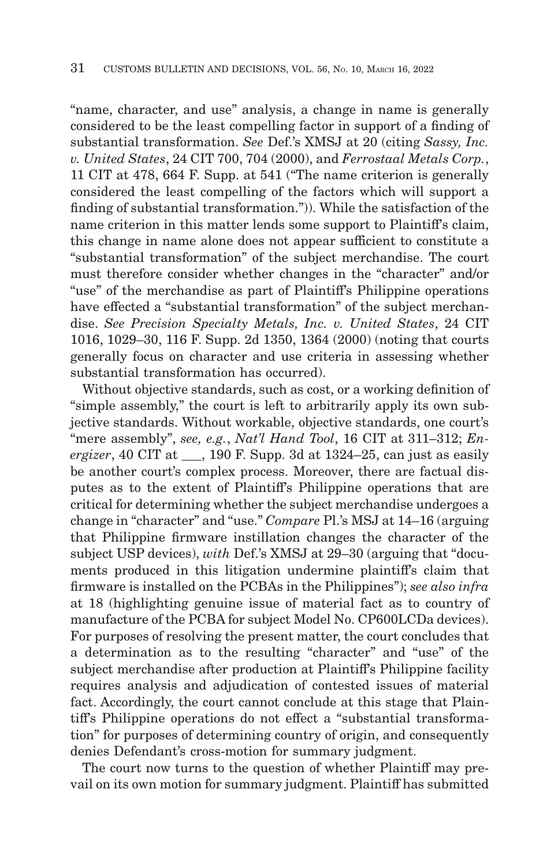"name, character, and use" analysis, a change in name is generally considered to be the least compelling factor in support of a finding of substantial transformation. *See* Def.'s XMSJ at 20 (citing *Sassy, Inc. v. United States*, 24 CIT 700, 704 (2000), and *Ferrostaal Metals Corp.*, 11 CIT at 478, 664 F. Supp. at 541 ("The name criterion is generally considered the least compelling of the factors which will support a finding of substantial transformation.")). While the satisfaction of the name criterion in this matter lends some support to Plaintiff's claim, this change in name alone does not appear sufficient to constitute a "substantial transformation" of the subject merchandise. The court must therefore consider whether changes in the "character" and/or "use" of the merchandise as part of Plaintiff's Philippine operations have effected a "substantial transformation" of the subject merchandise. *See Precision Specialty Metals, Inc. v. United States*, 24 CIT 1016, 1029–30, 116 F. Supp. 2d 1350, 1364 (2000) (noting that courts generally focus on character and use criteria in assessing whether substantial transformation has occurred).

Without objective standards, such as cost, or a working definition of "simple assembly," the court is left to arbitrarily apply its own subjective standards. Without workable, objective standards, one court's "mere assembly", *see, e.g.*, *Nat'l Hand Tool*, 16 CIT at 311–312; *Energizer*, 40 CIT at \_\_\_, 190 F. Supp. 3d at 1324–25, can just as easily be another court's complex process. Moreover, there are factual disputes as to the extent of Plaintiff's Philippine operations that are critical for determining whether the subject merchandise undergoes a change in "character" and "use." *Compare* Pl.'s MSJ at 14–16 (arguing that Philippine firmware instillation changes the character of the subject USP devices), *with* Def.'s XMSJ at 29–30 (arguing that "documents produced in this litigation undermine plaintiff's claim that firmware is installed on the PCBAs in the Philippines"); *see also infra* at 18 (highlighting genuine issue of material fact as to country of manufacture of the PCBA for subject Model No. CP600LCDa devices). For purposes of resolving the present matter, the court concludes that a determination as to the resulting "character" and "use" of the subject merchandise after production at Plaintiff's Philippine facility requires analysis and adjudication of contested issues of material fact. Accordingly, the court cannot conclude at this stage that Plaintiff's Philippine operations do not effect a "substantial transformation" for purposes of determining country of origin, and consequently denies Defendant's cross-motion for summary judgment.

The court now turns to the question of whether Plaintiff may prevail on its own motion for summary judgment. Plaintiff has submitted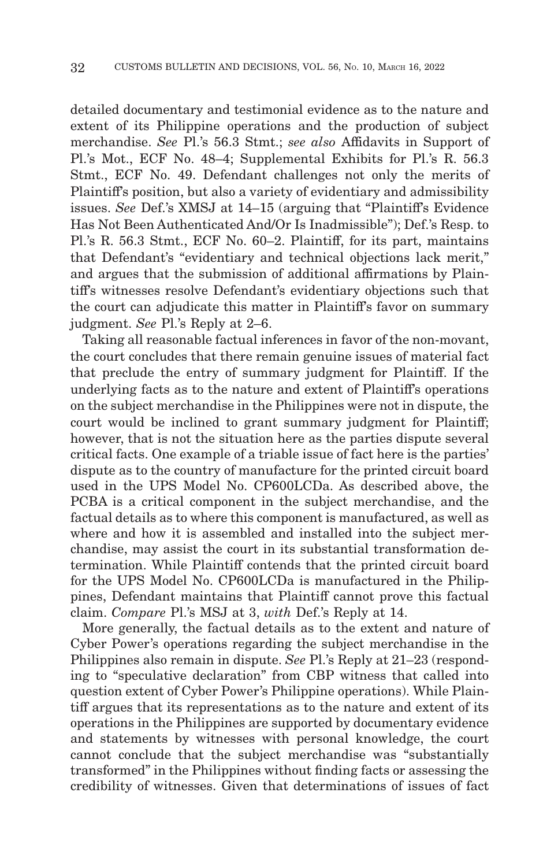detailed documentary and testimonial evidence as to the nature and extent of its Philippine operations and the production of subject merchandise. *See* Pl.'s 56.3 Stmt.; *see also* Affidavits in Support of Pl.'s Mot., ECF No. 48–4; Supplemental Exhibits for Pl.'s R. 56.3 Stmt., ECF No. 49. Defendant challenges not only the merits of Plaintiff's position, but also a variety of evidentiary and admissibility issues. *See* Def.'s XMSJ at 14–15 (arguing that "Plaintiff's Evidence Has Not Been Authenticated And/Or Is Inadmissible"); Def.'s Resp. to Pl.'s R. 56.3 Stmt., ECF No. 60–2. Plaintiff, for its part, maintains that Defendant's "evidentiary and technical objections lack merit," and argues that the submission of additional affirmations by Plaintiff's witnesses resolve Defendant's evidentiary objections such that the court can adjudicate this matter in Plaintiff's favor on summary judgment. *See* Pl.'s Reply at 2–6.

Taking all reasonable factual inferences in favor of the non-movant, the court concludes that there remain genuine issues of material fact that preclude the entry of summary judgment for Plaintiff. If the underlying facts as to the nature and extent of Plaintiff's operations on the subject merchandise in the Philippines were not in dispute, the court would be inclined to grant summary judgment for Plaintiff; however, that is not the situation here as the parties dispute several critical facts. One example of a triable issue of fact here is the parties' dispute as to the country of manufacture for the printed circuit board used in the UPS Model No. CP600LCDa. As described above, the PCBA is a critical component in the subject merchandise, and the factual details as to where this component is manufactured, as well as where and how it is assembled and installed into the subject merchandise, may assist the court in its substantial transformation determination. While Plaintiff contends that the printed circuit board for the UPS Model No. CP600LCDa is manufactured in the Philippines, Defendant maintains that Plaintiff cannot prove this factual claim. *Compare* Pl.'s MSJ at 3, *with* Def.'s Reply at 14.

More generally, the factual details as to the extent and nature of Cyber Power's operations regarding the subject merchandise in the Philippines also remain in dispute. *See* Pl.'s Reply at 21–23 (responding to "speculative declaration" from CBP witness that called into question extent of Cyber Power's Philippine operations). While Plaintiff argues that its representations as to the nature and extent of its operations in the Philippines are supported by documentary evidence and statements by witnesses with personal knowledge, the court cannot conclude that the subject merchandise was "substantially transformed" in the Philippines without finding facts or assessing the credibility of witnesses. Given that determinations of issues of fact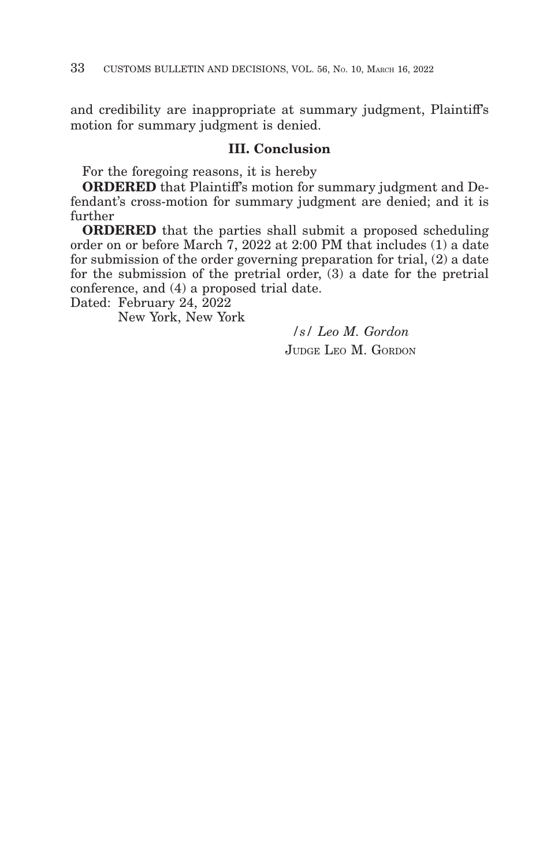and credibility are inappropriate at summary judgment, Plaintiff's motion for summary judgment is denied.

## **III. Conclusion**

For the foregoing reasons, it is hereby

**ORDERED** that Plaintiff's motion for summary judgment and Defendant's cross-motion for summary judgment are denied; and it is further

**ORDERED** that the parties shall submit a proposed scheduling order on or before March 7, 2022 at 2:00 PM that includes (1) a date for submission of the order governing preparation for trial, (2) a date for the submission of the pretrial order, (3) a date for the pretrial conference, and (4) a proposed trial date.

Dated: February 24, 2022

New York, New York

*/s/ Leo M. Gordon* JUDGE LEO M. GORDON